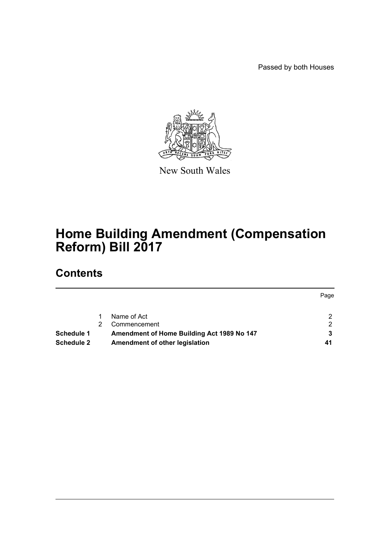Passed by both Houses



New South Wales

# **Home Building Amendment (Compensation Reform) Bill 2017**

# **Contents**

|                   |                                            | Page |
|-------------------|--------------------------------------------|------|
|                   | Name of Act                                |      |
|                   | Commencement                               | ົ    |
| <b>Schedule 1</b> | Amendment of Home Building Act 1989 No 147 |      |
| <b>Schedule 2</b> | Amendment of other legislation             | 41   |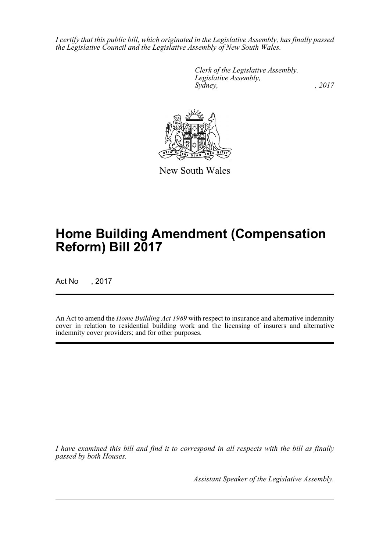*I certify that this public bill, which originated in the Legislative Assembly, has finally passed the Legislative Council and the Legislative Assembly of New South Wales.*

> *Clerk of the Legislative Assembly. Legislative Assembly, Sydney,* , 2017



New South Wales

# **Home Building Amendment (Compensation Reform) Bill 2017**

Act No , 2017

An Act to amend the *Home Building Act 1989* with respect to insurance and alternative indemnity cover in relation to residential building work and the licensing of insurers and alternative indemnity cover providers; and for other purposes.

*I have examined this bill and find it to correspond in all respects with the bill as finally passed by both Houses.*

*Assistant Speaker of the Legislative Assembly.*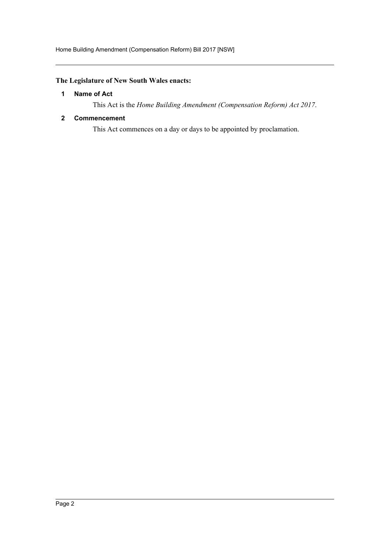# <span id="page-2-0"></span>**The Legislature of New South Wales enacts:**

## **1 Name of Act**

This Act is the *Home Building Amendment (Compensation Reform) Act 2017*.

#### <span id="page-2-1"></span>**2 Commencement**

This Act commences on a day or days to be appointed by proclamation.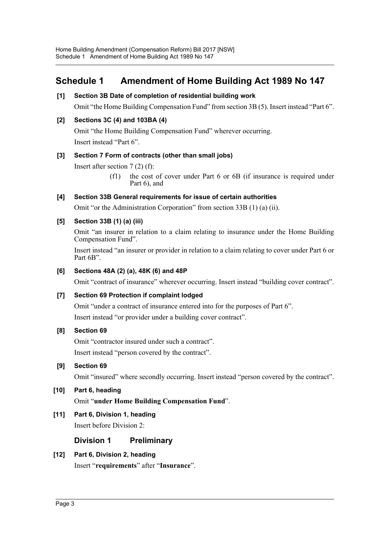# <span id="page-3-0"></span>**Schedule 1 Amendment of Home Building Act 1989 No 147**

## **[1] Section 3B Date of completion of residential building work**

Omit "the Home Building Compensation Fund" from section 3B (5). Insert instead "Part 6".

## **[2] Sections 3C (4) and 103BA (4)**

Omit "the Home Building Compensation Fund" wherever occurring. Insert instead "Part 6".

## **[3] Section 7 Form of contracts (other than small jobs)**

Insert after section 7 (2) (f):

(f1) the cost of cover under Part 6 or 6B (if insurance is required under Part 6), and

## **[4] Section 33B General requirements for issue of certain authorities**

Omit "or the Administration Corporation" from section 33B (1) (a) (ii).

## **[5] Section 33B (1) (a) (iii)**

Omit "an insurer in relation to a claim relating to insurance under the Home Building Compensation Fund".

Insert instead "an insurer or provider in relation to a claim relating to cover under Part 6 or Part 6B".

## **[6] Sections 48A (2) (a), 48K (6) and 48P**

Omit "contract of insurance" wherever occurring. Insert instead "building cover contract".

## **[7] Section 69 Protection if complaint lodged**

Omit "under a contract of insurance entered into for the purposes of Part 6". Insert instead "or provider under a building cover contract".

## **[8] Section 69**

Omit "contractor insured under such a contract".

Insert instead "person covered by the contract".

## **[9] Section 69**

Omit "insured" where secondly occurring. Insert instead "person covered by the contract".

# **[10] Part 6, heading**

Omit "**under Home Building Compensation Fund**".

# **[11] Part 6, Division 1, heading**

Insert before Division 2:

# **Division 1 Preliminary**

# **[12] Part 6, Division 2, heading**

Insert "**requirements**" after "**Insurance**".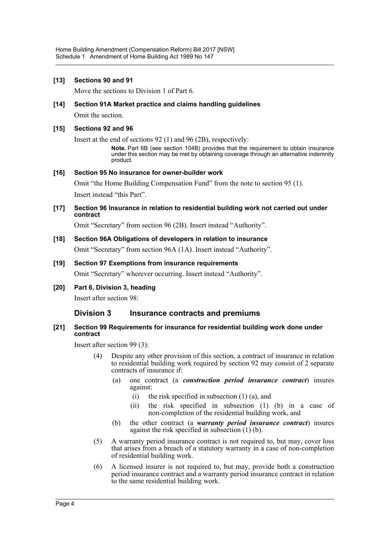#### **[13] Sections 90 and 91**

Move the sections to Division 1 of Part 6.

#### **[14] Section 91A Market practice and claims handling guidelines**

Omit the section.

#### **[15] Sections 92 and 96**

Insert at the end of sections 92 (1) and 96 (2B), respectively:

**Note.** Part 6B (see section 104B) provides that the requirement to obtain insurance under this section may be met by obtaining coverage through an alternative indemnity product.

#### **[16] Section 95 No insurance for owner-builder work**

Omit "the Home Building Compensation Fund" from the note to section 95 (1). Insert instead "this Part".

#### **[17] Section 96 Insurance in relation to residential building work not carried out under contract**

Omit "Secretary" from section 96 (2B). Insert instead "Authority".

#### **[18] Section 96A Obligations of developers in relation to insurance**

Omit "Secretary" from section 96A (1A). Insert instead "Authority".

## **[19] Section 97 Exemptions from insurance requirements**

Omit "Secretary" wherever occurring. Insert instead "Authority".

**[20] Part 6, Division 3, heading**

Insert after section 98:

# **Division 3 Insurance contracts and premiums**

#### **[21] Section 99 Requirements for insurance for residential building work done under contract**

Insert after section 99 (3):

- Despite any other provision of this section, a contract of insurance in relation to residential building work required by section 92 may consist of 2 separate contracts of insurance if:
	- (a) one contract (a *construction period insurance contract*) insures against:
		- (i) the risk specified in subsection  $(1)$   $(a)$ , and
		- (ii) the risk specified in subsection (1) (b) in a case of non-completion of the residential building work, and
	- (b) the other contract (a *warranty period insurance contract*) insures against the risk specified in subsection (1) (b).
- (5) A warranty period insurance contract is not required to, but may, cover loss that arises from a breach of a statutory warranty in a case of non-completion of residential building work.
- (6) A licensed insurer is not required to, but may, provide both a construction period insurance contract and a warranty period insurance contract in relation to the same residential building work.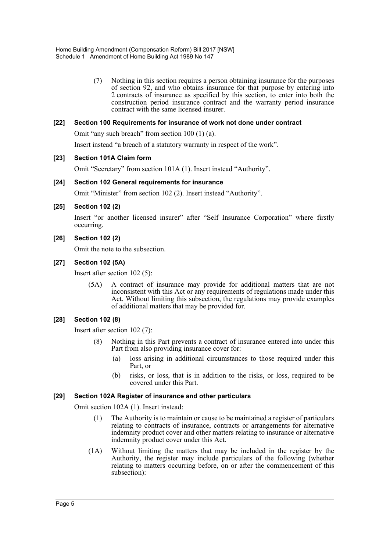(7) Nothing in this section requires a person obtaining insurance for the purposes of section 92, and who obtains insurance for that purpose by entering into 2 contracts of insurance as specified by this section, to enter into both the construction period insurance contract and the warranty period insurance contract with the same licensed insurer.

#### **[22] Section 100 Requirements for insurance of work not done under contract**

Omit "any such breach" from section 100 (1) (a).

Insert instead "a breach of a statutory warranty in respect of the work".

#### **[23] Section 101A Claim form**

Omit "Secretary" from section 101A (1). Insert instead "Authority".

#### **[24] Section 102 General requirements for insurance**

Omit "Minister" from section 102 (2). Insert instead "Authority".

#### **[25] Section 102 (2)**

Insert "or another licensed insurer" after "Self Insurance Corporation" where firstly occurring.

**[26] Section 102 (2)**

Omit the note to the subsection.

#### **[27] Section 102 (5A)**

Insert after section 102 (5):

(5A) A contract of insurance may provide for additional matters that are not inconsistent with this Act or any requirements of regulations made under this Act. Without limiting this subsection, the regulations may provide examples of additional matters that may be provided for.

#### **[28] Section 102 (8)**

Insert after section 102 (7):

- (8) Nothing in this Part prevents a contract of insurance entered into under this Part from also providing insurance cover for:
	- (a) loss arising in additional circumstances to those required under this Part, or
	- (b) risks, or loss, that is in addition to the risks, or loss, required to be covered under this Part.

#### **[29] Section 102A Register of insurance and other particulars**

Omit section 102A (1). Insert instead:

- (1) The Authority is to maintain or cause to be maintained a register of particulars relating to contracts of insurance, contracts or arrangements for alternative indemnity product cover and other matters relating to insurance or alternative indemnity product cover under this Act.
- (1A) Without limiting the matters that may be included in the register by the Authority, the register may include particulars of the following (whether relating to matters occurring before, on or after the commencement of this subsection):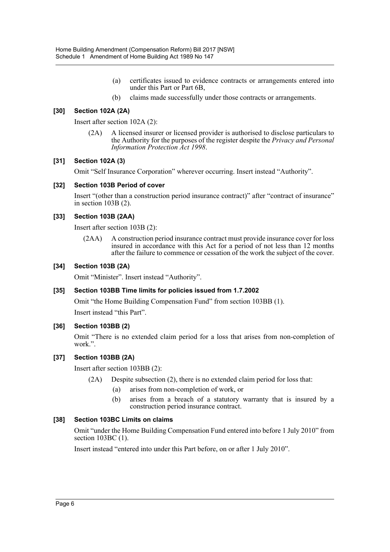- (a) certificates issued to evidence contracts or arrangements entered into under this Part or Part 6B,
- (b) claims made successfully under those contracts or arrangements.

#### **[30] Section 102A (2A)**

Insert after section 102A (2):

(2A) A licensed insurer or licensed provider is authorised to disclose particulars to the Authority for the purposes of the register despite the *Privacy and Personal Information Protection Act 1998*.

#### **[31] Section 102A (3)**

Omit "Self Insurance Corporation" wherever occurring. Insert instead "Authority".

#### **[32] Section 103B Period of cover**

Insert "(other than a construction period insurance contract)" after "contract of insurance" in section 103B (2).

#### **[33] Section 103B (2AA)**

Insert after section 103B (2):

(2AA) A construction period insurance contract must provide insurance cover for loss insured in accordance with this Act for a period of not less than 12 months after the failure to commence or cessation of the work the subject of the cover.

#### **[34] Section 103B (2A)**

Omit "Minister". Insert instead "Authority".

#### **[35] Section 103BB Time limits for policies issued from 1.7.2002**

Omit "the Home Building Compensation Fund" from section 103BB (1).

Insert instead "this Part".

#### **[36] Section 103BB (2)**

Omit "There is no extended claim period for a loss that arises from non-completion of work.".

#### **[37] Section 103BB (2A)**

Insert after section 103BB (2):

- (2A) Despite subsection (2), there is no extended claim period for loss that:
	- (a) arises from non-completion of work, or
	- (b) arises from a breach of a statutory warranty that is insured by a construction period insurance contract.

#### **[38] Section 103BC Limits on claims**

Omit "under the Home Building Compensation Fund entered into before 1 July 2010" from section 103BC (1).

Insert instead "entered into under this Part before, on or after 1 July 2010".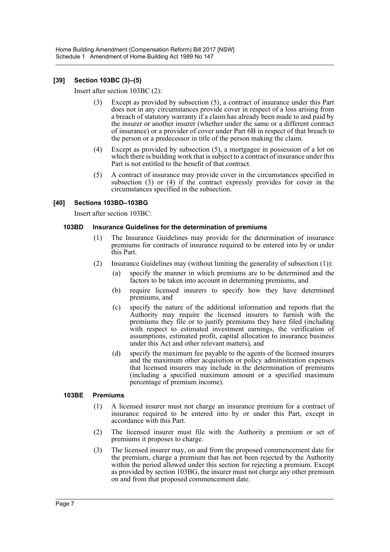Home Building Amendment (Compensation Reform) Bill 2017 [NSW] Schedule 1 Amendment of Home Building Act 1989 No 147

#### **[39] Section 103BC (3)–(5)**

Insert after section 103BC (2):

- (3) Except as provided by subsection (5), a contract of insurance under this Part does not in any circumstances provide cover in respect of a loss arising from a breach of statutory warranty if a claim has already been made to and paid by the insurer or another insurer (whether under the same or a different contract of insurance) or a provider of cover under Part 6B in respect of that breach to the person or a predecessor in title of the person making the claim.
- (4) Except as provided by subsection (5), a mortgagee in possession of a lot on which there is building work that is subject to a contract of insurance under this Part is not entitled to the benefit of that contract.
- (5) A contract of insurance may provide cover in the circumstances specified in subsection (3) or (4) if the contract expressly provides for cover in the circumstances specified in the subsection.

#### **[40] Sections 103BD–103BG**

Insert after section 103BC:

#### **103BD Insurance Guidelines for the determination of premiums**

- (1) The Insurance Guidelines may provide for the determination of insurance premiums for contracts of insurance required to be entered into by or under this Part.
- (2) Insurance Guidelines may (without limiting the generality of subsection (1)):
	- (a) specify the manner in which premiums are to be determined and the factors to be taken into account in determining premiums, and
	- (b) require licensed insurers to specify how they have determined premiums, and
	- (c) specify the nature of the additional information and reports that the Authority may require the licensed insurers to furnish with the premiums they file or to justify premiums they have filed (including with respect to estimated investment earnings, the verification of assumptions, estimated profit, capital allocation to insurance business under this Act and other relevant matters), and
	- (d) specify the maximum fee payable to the agents of the licensed insurers and the maximum other acquisition or policy administration expenses that licensed insurers may include in the determination of premiums (including a specified maximum amount or a specified maximum percentage of premium income).

#### **103BE Premiums**

- (1) A licensed insurer must not charge an insurance premium for a contract of insurance required to be entered into by or under this Part, except in accordance with this Part.
- (2) The licensed insurer must file with the Authority a premium or set of premiums it proposes to charge.
- (3) The licensed insurer may, on and from the proposed commencement date for the premium, charge a premium that has not been rejected by the Authority within the period allowed under this section for rejecting a premium. Except as provided by section 103BG, the insurer must not charge any other premium on and from that proposed commencement date.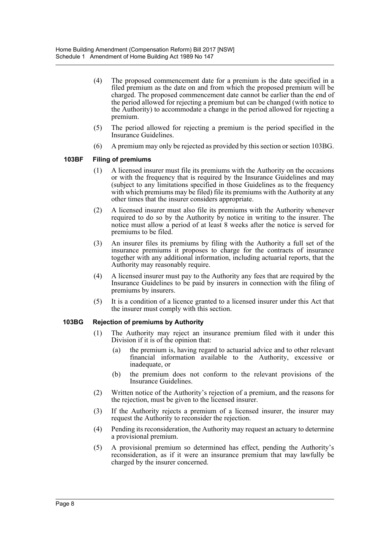- (4) The proposed commencement date for a premium is the date specified in a filed premium as the date on and from which the proposed premium will be charged. The proposed commencement date cannot be earlier than the end of the period allowed for rejecting a premium but can be changed (with notice to the Authority) to accommodate a change in the period allowed for rejecting a premium.
- (5) The period allowed for rejecting a premium is the period specified in the Insurance Guidelines.
- (6) A premium may only be rejected as provided by this section or section 103BG.

#### **103BF Filing of premiums**

- (1) A licensed insurer must file its premiums with the Authority on the occasions or with the frequency that is required by the Insurance Guidelines and may (subject to any limitations specified in those Guidelines as to the frequency with which premiums may be filed) file its premiums with the Authority at any other times that the insurer considers appropriate.
- (2) A licensed insurer must also file its premiums with the Authority whenever required to do so by the Authority by notice in writing to the insurer. The notice must allow a period of at least 8 weeks after the notice is served for premiums to be filed.
- (3) An insurer files its premiums by filing with the Authority a full set of the insurance premiums it proposes to charge for the contracts of insurance together with any additional information, including actuarial reports, that the Authority may reasonably require.
- (4) A licensed insurer must pay to the Authority any fees that are required by the Insurance Guidelines to be paid by insurers in connection with the filing of premiums by insurers.
- (5) It is a condition of a licence granted to a licensed insurer under this Act that the insurer must comply with this section.

#### **103BG Rejection of premiums by Authority**

- (1) The Authority may reject an insurance premium filed with it under this Division if it is of the opinion that:
	- (a) the premium is, having regard to actuarial advice and to other relevant financial information available to the Authority, excessive or inadequate, or
	- (b) the premium does not conform to the relevant provisions of the Insurance Guidelines.
- (2) Written notice of the Authority's rejection of a premium, and the reasons for the rejection, must be given to the licensed insurer.
- (3) If the Authority rejects a premium of a licensed insurer, the insurer may request the Authority to reconsider the rejection.
- (4) Pending its reconsideration, the Authority may request an actuary to determine a provisional premium.
- (5) A provisional premium so determined has effect, pending the Authority's reconsideration, as if it were an insurance premium that may lawfully be charged by the insurer concerned.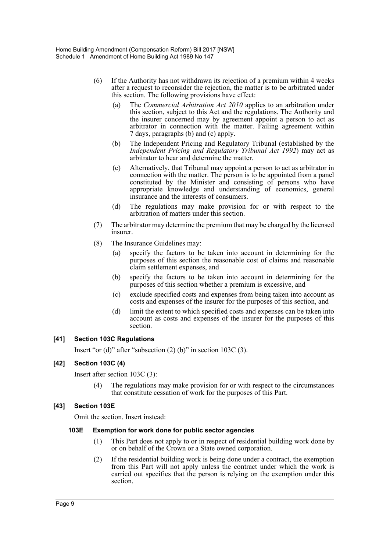- (6) If the Authority has not withdrawn its rejection of a premium within 4 weeks after a request to reconsider the rejection, the matter is to be arbitrated under this section. The following provisions have effect:
	- (a) The *Commercial Arbitration Act 2010* applies to an arbitration under this section, subject to this Act and the regulations. The Authority and the insurer concerned may by agreement appoint a person to act as arbitrator in connection with the matter. Failing agreement within 7 days, paragraphs (b) and (c) apply.
	- (b) The Independent Pricing and Regulatory Tribunal (established by the *Independent Pricing and Regulatory Tribunal Act 1992*) may act as arbitrator to hear and determine the matter.
	- (c) Alternatively, that Tribunal may appoint a person to act as arbitrator in connection with the matter. The person is to be appointed from a panel constituted by the Minister and consisting of persons who have appropriate knowledge and understanding of economics, general insurance and the interests of consumers.
	- (d) The regulations may make provision for or with respect to the arbitration of matters under this section.
- (7) The arbitrator may determine the premium that may be charged by the licensed insurer.
- (8) The Insurance Guidelines may:
	- (a) specify the factors to be taken into account in determining for the purposes of this section the reasonable cost of claims and reasonable claim settlement expenses, and
	- (b) specify the factors to be taken into account in determining for the purposes of this section whether a premium is excessive, and
	- (c) exclude specified costs and expenses from being taken into account as costs and expenses of the insurer for the purposes of this section, and
	- (d) limit the extent to which specified costs and expenses can be taken into account as costs and expenses of the insurer for the purposes of this section.

## **[41] Section 103C Regulations**

Insert "or (d)" after "subsection  $(2)$  (b)" in section 103C  $(3)$ .

## **[42] Section 103C (4)**

Insert after section 103C (3):

The regulations may make provision for or with respect to the circumstances that constitute cessation of work for the purposes of this Part.

#### **[43] Section 103E**

Omit the section. Insert instead:

#### **103E Exemption for work done for public sector agencies**

- (1) This Part does not apply to or in respect of residential building work done by or on behalf of the Crown or a State owned corporation.
- (2) If the residential building work is being done under a contract, the exemption from this Part will not apply unless the contract under which the work is carried out specifies that the person is relying on the exemption under this section.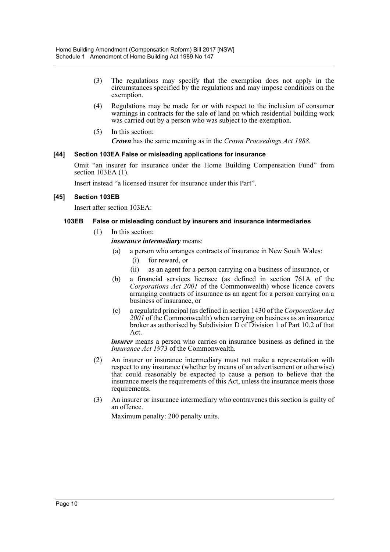- (3) The regulations may specify that the exemption does not apply in the circumstances specified by the regulations and may impose conditions on the exemption.
- (4) Regulations may be made for or with respect to the inclusion of consumer warnings in contracts for the sale of land on which residential building work was carried out by a person who was subject to the exemption.
- (5) In this section:

*Crown* has the same meaning as in the *Crown Proceedings Act 1988*.

#### **[44] Section 103EA False or misleading applications for insurance**

Omit "an insurer for insurance under the Home Building Compensation Fund" from section 103EA (1).

Insert instead "a licensed insurer for insurance under this Part".

#### **[45] Section 103EB**

Insert after section 103EA:

#### **103EB False or misleading conduct by insurers and insurance intermediaries**

- (1) In this section:
	- *insurance intermediary* means:
	- (a) a person who arranges contracts of insurance in New South Wales:
		- (i) for reward, or
		- (ii) as an agent for a person carrying on a business of insurance, or
	- (b) a financial services licensee (as defined in section 761A of the *Corporations Act 2001* of the Commonwealth) whose licence covers arranging contracts of insurance as an agent for a person carrying on a business of insurance, or
	- (c) a regulated principal (as defined in section 1430 of the *Corporations Act 2001* of the Commonwealth) when carrying on business as an insurance broker as authorised by Subdivision D of Division 1 of Part 10.2 of that Act.

*insurer* means a person who carries on insurance business as defined in the *Insurance Act 1973* of the Commonwealth.

- (2) An insurer or insurance intermediary must not make a representation with respect to any insurance (whether by means of an advertisement or otherwise) that could reasonably be expected to cause a person to believe that the insurance meets the requirements of this Act, unless the insurance meets those requirements.
- (3) An insurer or insurance intermediary who contravenes this section is guilty of an offence.

Maximum penalty: 200 penalty units.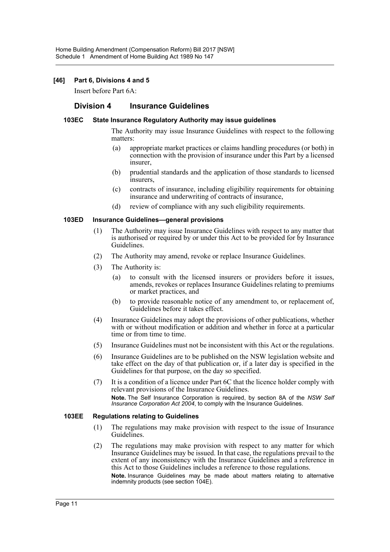#### **[46] Part 6, Divisions 4 and 5**

Insert before Part 6A:

## **Division 4 Insurance Guidelines**

#### **103EC State Insurance Regulatory Authority may issue guidelines**

The Authority may issue Insurance Guidelines with respect to the following matters:

- (a) appropriate market practices or claims handling procedures (or both) in connection with the provision of insurance under this Part by a licensed insurer,
- (b) prudential standards and the application of those standards to licensed insurers,
- (c) contracts of insurance, including eligibility requirements for obtaining insurance and underwriting of contracts of insurance,
- (d) review of compliance with any such eligibility requirements.

#### **103ED Insurance Guidelines—general provisions**

- (1) The Authority may issue Insurance Guidelines with respect to any matter that is authorised or required by or under this Act to be provided for by Insurance Guidelines.
- (2) The Authority may amend, revoke or replace Insurance Guidelines.
- (3) The Authority is:
	- (a) to consult with the licensed insurers or providers before it issues, amends, revokes or replaces Insurance Guidelines relating to premiums or market practices, and
	- (b) to provide reasonable notice of any amendment to, or replacement of, Guidelines before it takes effect.
- (4) Insurance Guidelines may adopt the provisions of other publications, whether with or without modification or addition and whether in force at a particular time or from time to time.
- (5) Insurance Guidelines must not be inconsistent with this Act or the regulations.
- (6) Insurance Guidelines are to be published on the NSW legislation website and take effect on the day of that publication or, if a later day is specified in the Guidelines for that purpose, on the day so specified.
- (7) It is a condition of a licence under Part 6C that the licence holder comply with relevant provisions of the Insurance Guidelines. **Note.** The Self Insurance Corporation is required, by section 8A of the *NSW Self Insurance Corporation Act 2004*, to comply with the Insurance Guidelines.

#### **103EE Regulations relating to Guidelines**

- (1) The regulations may make provision with respect to the issue of Insurance Guidelines.
- (2) The regulations may make provision with respect to any matter for which Insurance Guidelines may be issued. In that case, the regulations prevail to the extent of any inconsistency with the Insurance Guidelines and a reference in this Act to those Guidelines includes a reference to those regulations. **Note.** Insurance Guidelines may be made about matters relating to alternative indemnity products (see section 104E).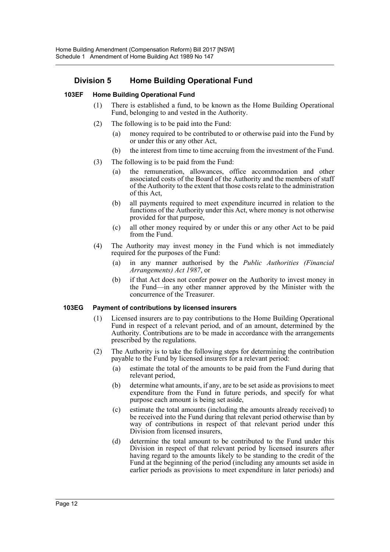# **Division 5 Home Building Operational Fund**

#### **103EF Home Building Operational Fund**

- (1) There is established a fund, to be known as the Home Building Operational Fund, belonging to and vested in the Authority.
- (2) The following is to be paid into the Fund:
	- (a) money required to be contributed to or otherwise paid into the Fund by or under this or any other Act,
	- (b) the interest from time to time accruing from the investment of the Fund.
- (3) The following is to be paid from the Fund:
	- (a) the remuneration, allowances, office accommodation and other associated costs of the Board of the Authority and the members of staff of the Authority to the extent that those costs relate to the administration of this Act,
	- (b) all payments required to meet expenditure incurred in relation to the functions of the Authority under this Act, where money is not otherwise provided for that purpose,
	- (c) all other money required by or under this or any other Act to be paid from the Fund.
- (4) The Authority may invest money in the Fund which is not immediately required for the purposes of the Fund:
	- (a) in any manner authorised by the *Public Authorities (Financial Arrangements) Act 1987*, or
	- (b) if that Act does not confer power on the Authority to invest money in the Fund—in any other manner approved by the Minister with the concurrence of the Treasurer.

#### **103EG Payment of contributions by licensed insurers**

- (1) Licensed insurers are to pay contributions to the Home Building Operational Fund in respect of a relevant period, and of an amount, determined by the Authority. Contributions are to be made in accordance with the arrangements prescribed by the regulations.
- (2) The Authority is to take the following steps for determining the contribution payable to the Fund by licensed insurers for a relevant period:
	- (a) estimate the total of the amounts to be paid from the Fund during that relevant period,
	- (b) determine what amounts, if any, are to be set aside as provisions to meet expenditure from the Fund in future periods, and specify for what purpose each amount is being set aside,
	- (c) estimate the total amounts (including the amounts already received) to be received into the Fund during that relevant period otherwise than by way of contributions in respect of that relevant period under this Division from licensed insurers,
	- (d) determine the total amount to be contributed to the Fund under this Division in respect of that relevant period by licensed insurers after having regard to the amounts likely to be standing to the credit of the Fund at the beginning of the period (including any amounts set aside in earlier periods as provisions to meet expenditure in later periods) and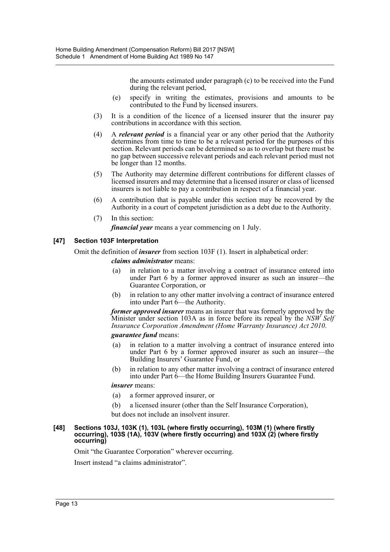the amounts estimated under paragraph (c) to be received into the Fund during the relevant period,

- (e) specify in writing the estimates, provisions and amounts to be contributed to the Fund by licensed insurers.
- (3) It is a condition of the licence of a licensed insurer that the insurer pay contributions in accordance with this section.
- (4) A *relevant period* is a financial year or any other period that the Authority determines from time to time to be a relevant period for the purposes of this section. Relevant periods can be determined so as to overlap but there must be no gap between successive relevant periods and each relevant period must not be longer than 12 months.
- (5) The Authority may determine different contributions for different classes of licensed insurers and may determine that a licensed insurer or class of licensed insurers is not liable to pay a contribution in respect of a financial year.
- (6) A contribution that is payable under this section may be recovered by the Authority in a court of competent jurisdiction as a debt due to the Authority.
- (7) In this section: *financial year* means a year commencing on 1 July.

## **[47] Section 103F Interpretation**

Omit the definition of *insurer* from section 103F (1). Insert in alphabetical order:

#### *claims administrator* means:

- (a) in relation to a matter involving a contract of insurance entered into under Part 6 by a former approved insurer as such an insurer—the Guarantee Corporation, or
- (b) in relation to any other matter involving a contract of insurance entered into under Part 6—the Authority.

*former approved insurer* means an insurer that was formerly approved by the Minister under section 103A as in force before its repeal by the *NSW Self Insurance Corporation Amendment (Home Warranty Insurance) Act 2010*.

#### *guarantee fund* means:

- (a) in relation to a matter involving a contract of insurance entered into under Part 6 by a former approved insurer as such an insurer—the Building Insurers' Guarantee Fund, or
- (b) in relation to any other matter involving a contract of insurance entered into under Part 6—the Home Building Insurers Guarantee Fund.

#### *insurer* means:

- (a) a former approved insurer, or
- (b) a licensed insurer (other than the Self Insurance Corporation),
- but does not include an insolvent insurer.

#### **[48] Sections 103J, 103K (1), 103L (where firstly occurring), 103M (1) (where firstly occurring), 103S (1A), 103V (where firstly occurring) and 103X (2) (where firstly occurring)**

Omit "the Guarantee Corporation" wherever occurring.

Insert instead "a claims administrator".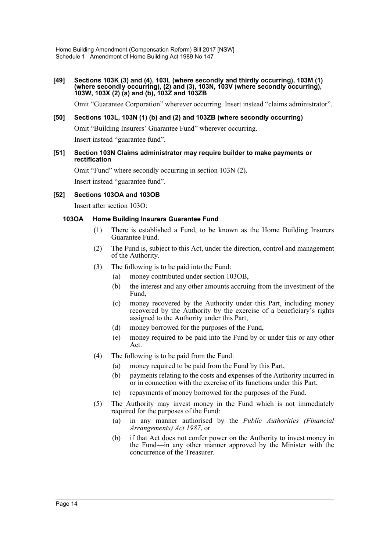#### **[49] Sections 103K (3) and (4), 103L (where secondly and thirdly occurring), 103M (1) (where secondly occurring), (2) and (3), 103N, 103V (where secondly occurring), 103W, 103X (2) (a) and (b), 103Z and 103ZB**

Omit "Guarantee Corporation" wherever occurring. Insert instead "claims administrator".

#### **[50] Sections 103L, 103N (1) (b) and (2) and 103ZB (where secondly occurring)**

Omit "Building Insurers' Guarantee Fund" wherever occurring.

Insert instead "guarantee fund".

#### **[51] Section 103N Claims administrator may require builder to make payments or rectification**

Omit "Fund" where secondly occurring in section 103N (2).

Insert instead "guarantee fund".

#### **[52] Sections 103OA and 103OB**

Insert after section 103O:

#### **103OA Home Building Insurers Guarantee Fund**

- (1) There is established a Fund, to be known as the Home Building Insurers Guarantee Fund.
- (2) The Fund is, subject to this Act, under the direction, control and management of the Authority.
- (3) The following is to be paid into the Fund:
	- (a) money contributed under section 103OB,
	- (b) the interest and any other amounts accruing from the investment of the Fund,
	- (c) money recovered by the Authority under this Part, including money recovered by the Authority by the exercise of a beneficiary's rights assigned to the Authority under this Part,
	- (d) money borrowed for the purposes of the Fund,
	- (e) money required to be paid into the Fund by or under this or any other Act.
- (4) The following is to be paid from the Fund:
	- (a) money required to be paid from the Fund by this Part,
	- (b) payments relating to the costs and expenses of the Authority incurred in or in connection with the exercise of its functions under this Part,
	- (c) repayments of money borrowed for the purposes of the Fund.
- (5) The Authority may invest money in the Fund which is not immediately required for the purposes of the Fund:
	- (a) in any manner authorised by the *Public Authorities (Financial Arrangements) Act 1987*, or
	- (b) if that Act does not confer power on the Authority to invest money in the Fund—in any other manner approved by the Minister with the concurrence of the Treasurer.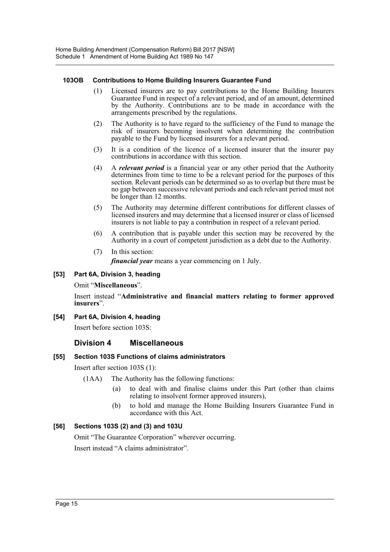#### **103OB Contributions to Home Building Insurers Guarantee Fund**

- (1) Licensed insurers are to pay contributions to the Home Building Insurers Guarantee Fund in respect of a relevant period, and of an amount, determined by the Authority. Contributions are to be made in accordance with the arrangements prescribed by the regulations.
- (2) The Authority is to have regard to the sufficiency of the Fund to manage the risk of insurers becoming insolvent when determining the contribution payable to the Fund by licensed insurers for a relevant period.
- (3) It is a condition of the licence of a licensed insurer that the insurer pay contributions in accordance with this section.
- (4) A *relevant period* is a financial year or any other period that the Authority determines from time to time to be a relevant period for the purposes of this section. Relevant periods can be determined so as to overlap but there must be no gap between successive relevant periods and each relevant period must not be longer than 12 months.
- (5) The Authority may determine different contributions for different classes of licensed insurers and may determine that a licensed insurer or class of licensed insurers is not liable to pay a contribution in respect of a relevant period.
- (6) A contribution that is payable under this section may be recovered by the Authority in a court of competent jurisdiction as a debt due to the Authority.
- (7) In this section: *financial year* means a year commencing on 1 July.

### **[53] Part 6A, Division 3, heading**

Omit "**Miscellaneous**".

Insert instead "**Administrative and financial matters relating to former approved insurers**".

#### **[54] Part 6A, Division 4, heading**

Insert before section 103S:

## **Division 4 Miscellaneous**

## **[55] Section 103S Functions of claims administrators**

Insert after section 103S (1):

- (1AA) The Authority has the following functions:
	- (a) to deal with and finalise claims under this Part (other than claims relating to insolvent former approved insurers),
	- (b) to hold and manage the Home Building Insurers Guarantee Fund in accordance with this Act.

## **[56] Sections 103S (2) and (3) and 103U**

Omit "The Guarantee Corporation" wherever occurring. Insert instead "A claims administrator".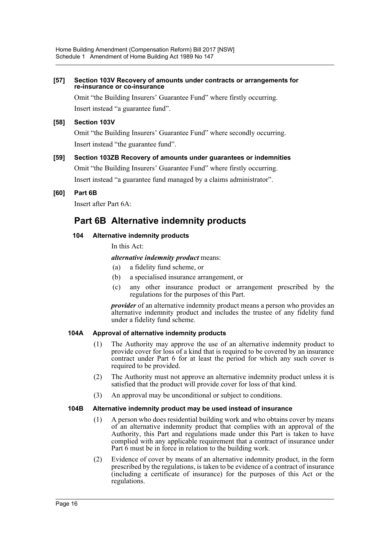#### **[57] Section 103V Recovery of amounts under contracts or arrangements for re-insurance or co-insurance**

Omit "the Building Insurers' Guarantee Fund" where firstly occurring. Insert instead "a guarantee fund".

## **[58] Section 103V**

Omit "the Building Insurers' Guarantee Fund" where secondly occurring. Insert instead "the guarantee fund".

#### **[59] Section 103ZB Recovery of amounts under guarantees or indemnities**

Omit "the Building Insurers' Guarantee Fund" where firstly occurring.

Insert instead "a guarantee fund managed by a claims administrator".

**[60] Part 6B**

Insert after Part 6A:

# **Part 6B Alternative indemnity products**

#### **104 Alternative indemnity products**

In this Act:

#### *alternative indemnity product* means:

- (a) a fidelity fund scheme, or
- (b) a specialised insurance arrangement, or
- (c) any other insurance product or arrangement prescribed by the regulations for the purposes of this Part.

*provider* of an alternative indemnity product means a person who provides an alternative indemnity product and includes the trustee of any fidelity fund under a fidelity fund scheme.

#### **104A Approval of alternative indemnity products**

- (1) The Authority may approve the use of an alternative indemnity product to provide cover for loss of a kind that is required to be covered by an insurance contract under Part 6 for at least the period for which any such cover is required to be provided.
- (2) The Authority must not approve an alternative indemnity product unless it is satisfied that the product will provide cover for loss of that kind.
- (3) An approval may be unconditional or subject to conditions.

#### **104B Alternative indemnity product may be used instead of insurance**

- (1) A person who does residential building work and who obtains cover by means of an alternative indemnity product that complies with an approval of the Authority, this Part and regulations made under this Part is taken to have complied with any applicable requirement that a contract of insurance under Part 6 must be in force in relation to the building work.
- (2) Evidence of cover by means of an alternative indemnity product, in the form prescribed by the regulations, is taken to be evidence of a contract of insurance (including a certificate of insurance) for the purposes of this Act or the regulations.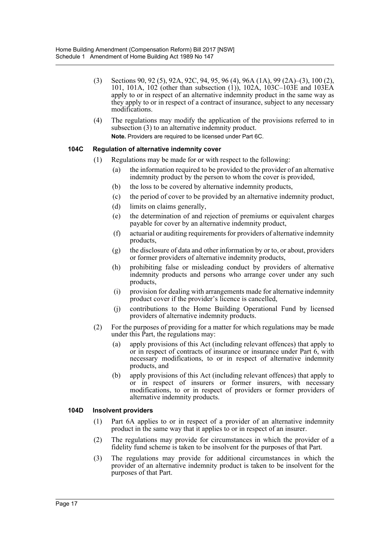- (3) Sections 90, 92 (5), 92A, 92C, 94, 95, 96 (4), 96A (1A), 99 (2A)–(3), 100 (2), 101, 101A, 102 (other than subsection (1)), 102A, 103C–103E and 103EA apply to or in respect of an alternative indemnity product in the same way as they apply to or in respect of a contract of insurance, subject to any necessary modifications.
- (4) The regulations may modify the application of the provisions referred to in subsection (3) to an alternative indemnity product. **Note.** Providers are required to be licensed under Part 6C.

#### **104C Regulation of alternative indemnity cover**

- (1) Regulations may be made for or with respect to the following:
	- (a) the information required to be provided to the provider of an alternative indemnity product by the person to whom the cover is provided,
	- (b) the loss to be covered by alternative indemnity products,
	- (c) the period of cover to be provided by an alternative indemnity product,
	- (d) limits on claims generally,
	- (e) the determination of and rejection of premiums or equivalent charges payable for cover by an alternative indemnity product,
	- (f) actuarial or auditing requirements for providers of alternative indemnity products,
	- (g) the disclosure of data and other information by or to, or about, providers or former providers of alternative indemnity products,
	- (h) prohibiting false or misleading conduct by providers of alternative indemnity products and persons who arrange cover under any such products,
	- (i) provision for dealing with arrangements made for alternative indemnity product cover if the provider's licence is cancelled,
	- (j) contributions to the Home Building Operational Fund by licensed providers of alternative indemnity products.
- (2) For the purposes of providing for a matter for which regulations may be made under this Part, the regulations may:
	- (a) apply provisions of this Act (including relevant offences) that apply to or in respect of contracts of insurance or insurance under Part 6, with necessary modifications, to or in respect of alternative indemnity products, and
	- (b) apply provisions of this Act (including relevant offences) that apply to or in respect of insurers or former insurers, with necessary modifications, to or in respect of providers or former providers of alternative indemnity products.

#### **104D Insolvent providers**

- (1) Part 6A applies to or in respect of a provider of an alternative indemnity product in the same way that it applies to or in respect of an insurer.
- (2) The regulations may provide for circumstances in which the provider of a fidelity fund scheme is taken to be insolvent for the purposes of that Part.
- (3) The regulations may provide for additional circumstances in which the provider of an alternative indemnity product is taken to be insolvent for the purposes of that Part.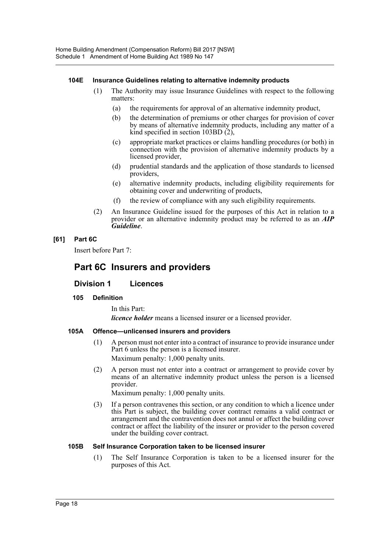#### **104E Insurance Guidelines relating to alternative indemnity products**

- (1) The Authority may issue Insurance Guidelines with respect to the following matters:
	- (a) the requirements for approval of an alternative indemnity product,
	- (b) the determination of premiums or other charges for provision of cover by means of alternative indemnity products, including any matter of a kind specified in section 103BD (2),
	- (c) appropriate market practices or claims handling procedures (or both) in connection with the provision of alternative indemnity products by a licensed provider,
	- (d) prudential standards and the application of those standards to licensed providers,
	- (e) alternative indemnity products, including eligibility requirements for obtaining cover and underwriting of products,
	- (f) the review of compliance with any such eligibility requirements.
- (2) An Insurance Guideline issued for the purposes of this Act in relation to a provider or an alternative indemnity product may be referred to as an *AIP Guideline*.

## **[61] Part 6C**

Insert before Part 7:

# **Part 6C Insurers and providers**

# **Division 1 Licences**

## **105 Definition**

In this Part:

*licence holder* means a licensed insurer or a licensed provider.

#### **105A Offence—unlicensed insurers and providers**

- (1) A person must not enter into a contract of insurance to provide insurance under Part 6 unless the person is a licensed insurer. Maximum penalty: 1,000 penalty units.
- (2) A person must not enter into a contract or arrangement to provide cover by means of an alternative indemnity product unless the person is a licensed provider.

Maximum penalty: 1,000 penalty units.

(3) If a person contravenes this section, or any condition to which a licence under this Part is subject, the building cover contract remains a valid contract or arrangement and the contravention does not annul or affect the building cover contract or affect the liability of the insurer or provider to the person covered under the building cover contract.

#### **105B Self Insurance Corporation taken to be licensed insurer**

(1) The Self Insurance Corporation is taken to be a licensed insurer for the purposes of this Act.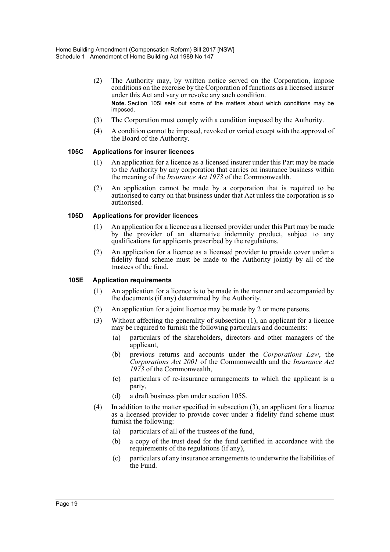- (2) The Authority may, by written notice served on the Corporation, impose conditions on the exercise by the Corporation of functions as a licensed insurer under this Act and vary or revoke any such condition. **Note.** Section 105I sets out some of the matters about which conditions may be imposed.
- (3) The Corporation must comply with a condition imposed by the Authority.
- (4) A condition cannot be imposed, revoked or varied except with the approval of the Board of the Authority.

#### **105C Applications for insurer licences**

- (1) An application for a licence as a licensed insurer under this Part may be made to the Authority by any corporation that carries on insurance business within the meaning of the *Insurance Act 1973* of the Commonwealth.
- (2) An application cannot be made by a corporation that is required to be authorised to carry on that business under that Act unless the corporation is so authorised.

#### **105D Applications for provider licences**

- (1) An application for a licence as a licensed provider under this Part may be made by the provider of an alternative indemnity product, subject to any qualifications for applicants prescribed by the regulations.
- (2) An application for a licence as a licensed provider to provide cover under a fidelity fund scheme must be made to the Authority jointly by all of the trustees of the fund.

#### **105E Application requirements**

- (1) An application for a licence is to be made in the manner and accompanied by the documents (if any) determined by the Authority.
- (2) An application for a joint licence may be made by 2 or more persons.
- (3) Without affecting the generality of subsection (1), an applicant for a licence may be required to furnish the following particulars and documents:
	- (a) particulars of the shareholders, directors and other managers of the applicant,
	- (b) previous returns and accounts under the *Corporations Law*, the *Corporations Act 2001* of the Commonwealth and the *Insurance Act 1973* of the Commonwealth,
	- (c) particulars of re-insurance arrangements to which the applicant is a party,
	- (d) a draft business plan under section 105S.
- (4) In addition to the matter specified in subsection (3), an applicant for a licence as a licensed provider to provide cover under a fidelity fund scheme must furnish the following:
	- (a) particulars of all of the trustees of the fund,
	- (b) a copy of the trust deed for the fund certified in accordance with the requirements of the regulations (if any),
	- (c) particulars of any insurance arrangements to underwrite the liabilities of the Fund.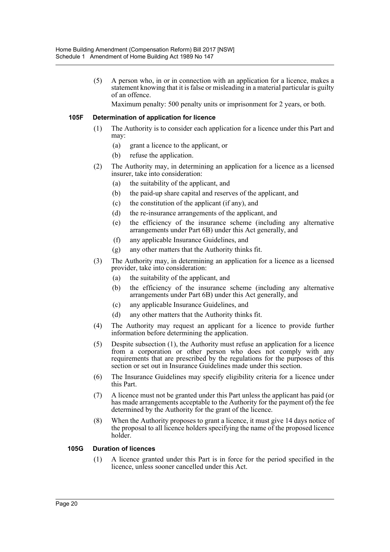(5) A person who, in or in connection with an application for a licence, makes a statement knowing that it is false or misleading in a material particular is guilty of an offence.

Maximum penalty: 500 penalty units or imprisonment for 2 years, or both.

#### **105F Determination of application for licence**

- (1) The Authority is to consider each application for a licence under this Part and may:
	- (a) grant a licence to the applicant, or
	- (b) refuse the application.
- (2) The Authority may, in determining an application for a licence as a licensed insurer, take into consideration:
	- (a) the suitability of the applicant, and
	- (b) the paid-up share capital and reserves of the applicant, and
	- (c) the constitution of the applicant (if any), and
	- (d) the re-insurance arrangements of the applicant, and
	- (e) the efficiency of the insurance scheme (including any alternative arrangements under Part 6B) under this Act generally, and
	- (f) any applicable Insurance Guidelines, and
	- (g) any other matters that the Authority thinks fit.
- (3) The Authority may, in determining an application for a licence as a licensed provider, take into consideration:
	- (a) the suitability of the applicant, and
	- (b) the efficiency of the insurance scheme (including any alternative arrangements under Part 6B) under this Act generally, and
	- (c) any applicable Insurance Guidelines, and
	- (d) any other matters that the Authority thinks fit.
- (4) The Authority may request an applicant for a licence to provide further information before determining the application.
- (5) Despite subsection (1), the Authority must refuse an application for a licence from a corporation or other person who does not comply with any requirements that are prescribed by the regulations for the purposes of this section or set out in Insurance Guidelines made under this section.
- (6) The Insurance Guidelines may specify eligibility criteria for a licence under this Part.
- (7) A licence must not be granted under this Part unless the applicant has paid (or has made arrangements acceptable to the Authority for the payment of) the fee determined by the Authority for the grant of the licence.
- (8) When the Authority proposes to grant a licence, it must give 14 days notice of the proposal to all licence holders specifying the name of the proposed licence holder.

#### **105G Duration of licences**

(1) A licence granted under this Part is in force for the period specified in the licence, unless sooner cancelled under this Act.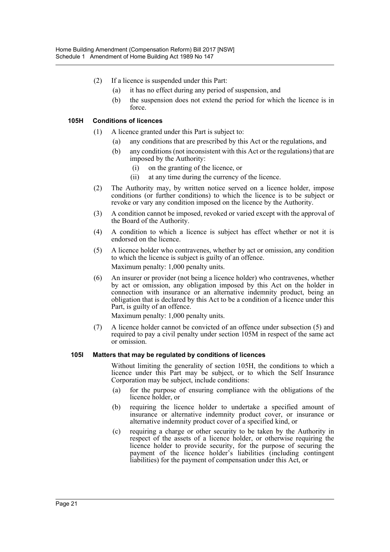- (2) If a licence is suspended under this Part:
	- (a) it has no effect during any period of suspension, and
	- (b) the suspension does not extend the period for which the licence is in force.

### **105H Conditions of licences**

- (1) A licence granted under this Part is subject to:
	- (a) any conditions that are prescribed by this Act or the regulations, and
	- (b) any conditions (not inconsistent with this Act or the regulations) that are imposed by the Authority:
		- (i) on the granting of the licence, or
		- (ii) at any time during the currency of the licence.
- (2) The Authority may, by written notice served on a licence holder, impose conditions (or further conditions) to which the licence is to be subject or revoke or vary any condition imposed on the licence by the Authority.
- (3) A condition cannot be imposed, revoked or varied except with the approval of the Board of the Authority.
- (4) A condition to which a licence is subject has effect whether or not it is endorsed on the licence.
- (5) A licence holder who contravenes, whether by act or omission, any condition to which the licence is subject is guilty of an offence. Maximum penalty: 1,000 penalty units.
- (6) An insurer or provider (not being a licence holder) who contravenes, whether by act or omission, any obligation imposed by this Act on the holder in connection with insurance or an alternative indemnity product, being an obligation that is declared by this Act to be a condition of a licence under this Part, is guilty of an offence.

Maximum penalty: 1,000 penalty units.

(7) A licence holder cannot be convicted of an offence under subsection (5) and required to pay a civil penalty under section 105M in respect of the same act or omission.

#### **105I Matters that may be regulated by conditions of licences**

Without limiting the generality of section 105H, the conditions to which a licence under this Part may be subject, or to which the Self Insurance Corporation may be subject, include conditions:

- (a) for the purpose of ensuring compliance with the obligations of the licence holder, or
- (b) requiring the licence holder to undertake a specified amount of insurance or alternative indemnity product cover, or insurance or alternative indemnity product cover of a specified kind, or
- (c) requiring a charge or other security to be taken by the Authority in respect of the assets of a licence holder, or otherwise requiring the licence holder to provide security, for the purpose of securing the payment of the licence holder's liabilities (including contingent liabilities) for the payment of compensation under this Act, or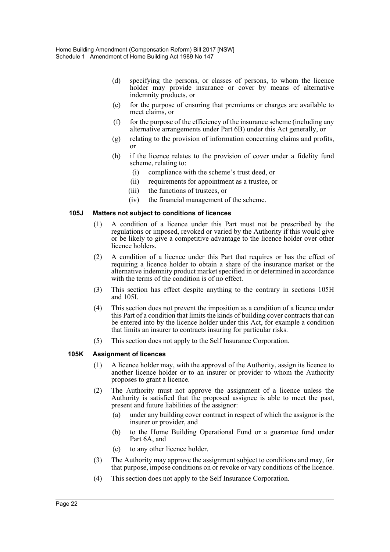- (d) specifying the persons, or classes of persons, to whom the licence holder may provide insurance or cover by means of alternative indemnity products, or
- (e) for the purpose of ensuring that premiums or charges are available to meet claims, or
- (f) for the purpose of the efficiency of the insurance scheme (including any alternative arrangements under Part 6B) under this Act generally, or
- (g) relating to the provision of information concerning claims and profits, or
- (h) if the licence relates to the provision of cover under a fidelity fund scheme, relating to:
	- (i) compliance with the scheme's trust deed, or
	- (ii) requirements for appointment as a trustee, or
	- (iii) the functions of trustees, or
	- (iv) the financial management of the scheme.

#### **105J Matters not subject to conditions of licences**

- (1) A condition of a licence under this Part must not be prescribed by the regulations or imposed, revoked or varied by the Authority if this would give or be likely to give a competitive advantage to the licence holder over other licence holders.
- (2) A condition of a licence under this Part that requires or has the effect of requiring a licence holder to obtain a share of the insurance market or the alternative indemnity product market specified in or determined in accordance with the terms of the condition is of no effect.
- (3) This section has effect despite anything to the contrary in sections 105H and 105I.
- (4) This section does not prevent the imposition as a condition of a licence under this Part of a condition that limits the kinds of building cover contracts that can be entered into by the licence holder under this Act, for example a condition that limits an insurer to contracts insuring for particular risks.
- (5) This section does not apply to the Self Insurance Corporation.

#### **105K Assignment of licences**

- (1) A licence holder may, with the approval of the Authority, assign its licence to another licence holder or to an insurer or provider to whom the Authority proposes to grant a licence.
- (2) The Authority must not approve the assignment of a licence unless the Authority is satisfied that the proposed assignee is able to meet the past, present and future liabilities of the assignor:
	- (a) under any building cover contract in respect of which the assignor is the insurer or provider, and
	- (b) to the Home Building Operational Fund or a guarantee fund under Part 6A, and
	- (c) to any other licence holder.
- (3) The Authority may approve the assignment subject to conditions and may, for that purpose, impose conditions on or revoke or vary conditions of the licence.
- (4) This section does not apply to the Self Insurance Corporation.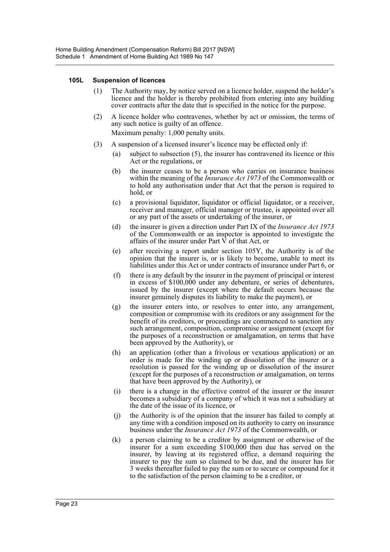#### **105L Suspension of licences**

- (1) The Authority may, by notice served on a licence holder, suspend the holder's licence and the holder is thereby prohibited from entering into any building cover contracts after the date that is specified in the notice for the purpose.
- (2) A licence holder who contravenes, whether by act or omission, the terms of any such notice is guilty of an offence. Maximum penalty: 1,000 penalty units.
- (3) A suspension of a licensed insurer's licence may be effected only if:
	- (a) subject to subsection (5), the insurer has contravened its licence or this Act or the regulations, or
	- (b) the insurer ceases to be a person who carries on insurance business within the meaning of the *Insurance Act 1973* of the Commonwealth or to hold any authorisation under that Act that the person is required to hold, or
	- (c) a provisional liquidator, liquidator or official liquidator, or a receiver, receiver and manager, official manager or trustee, is appointed over all or any part of the assets or undertaking of the insurer, or
	- (d) the insurer is given a direction under Part IX of the *Insurance Act 1973* of the Commonwealth or an inspector is appointed to investigate the affairs of the insurer under Part  $\hat{V}$  of that Act, or
	- (e) after receiving a report under section 105Y, the Authority is of the opinion that the insurer is, or is likely to become, unable to meet its liabilities under this Act or under contracts of insurance under Part 6, or
	- (f) there is any default by the insurer in the payment of principal or interest in excess of \$100,000 under any debenture, or series of debentures, issued by the insurer (except where the default occurs because the insurer genuinely disputes its liability to make the payment), or
	- (g) the insurer enters into, or resolves to enter into, any arrangement, composition or compromise with its creditors or any assignment for the benefit of its creditors, or proceedings are commenced to sanction any such arrangement, composition, compromise or assignment (except for the purposes of a reconstruction or amalgamation, on terms that have been approved by the Authority), or
	- (h) an application (other than a frivolous or vexatious application) or an order is made for the winding up or dissolution of the insurer or a resolution is passed for the winding up or dissolution of the insurer (except for the purposes of a reconstruction or amalgamation, on terms that have been approved by the Authority), or
	- (i) there is a change in the effective control of the insurer or the insurer becomes a subsidiary of a company of which it was not a subsidiary at the date of the issue of its licence, or
	- (j) the Authority is of the opinion that the insurer has failed to comply at any time with a condition imposed on its authority to carry on insurance business under the *Insurance Act 1973* of the Commonwealth, or
	- (k) a person claiming to be a creditor by assignment or otherwise of the insurer for a sum exceeding \$100,000 then due has served on the insurer, by leaving at its registered office, a demand requiring the insurer to pay the sum so claimed to be due, and the insurer has for 3 weeks thereafter failed to pay the sum or to secure or compound for it to the satisfaction of the person claiming to be a creditor, or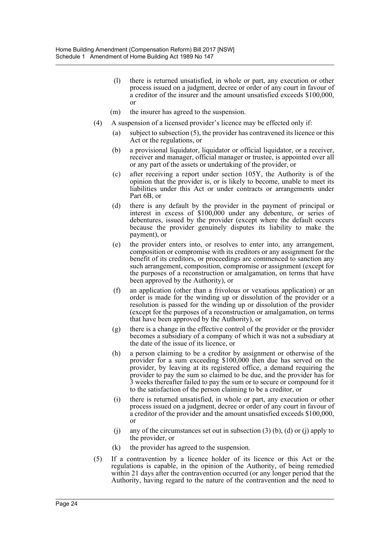- (l) there is returned unsatisfied, in whole or part, any execution or other process issued on a judgment, decree or order of any court in favour of a creditor of the insurer and the amount unsatisfied exceeds \$100,000, or
- (m) the insurer has agreed to the suspension.
- (4) A suspension of a licensed provider's licence may be effected only if:
	- (a) subject to subsection (5), the provider has contravened its licence or this Act or the regulations, or
	- (b) a provisional liquidator, liquidator or official liquidator, or a receiver, receiver and manager, official manager or trustee, is appointed over all or any part of the assets or undertaking of the provider, or
	- (c) after receiving a report under section 105Y, the Authority is of the opinion that the provider is, or is likely to become, unable to meet its liabilities under this Act or under contracts or arrangements under Part 6B, or
	- (d) there is any default by the provider in the payment of principal or interest in excess of \$100,000 under any debenture, or series of debentures, issued by the provider (except where the default occurs because the provider genuinely disputes its liability to make the payment), or
	- (e) the provider enters into, or resolves to enter into, any arrangement, composition or compromise with its creditors or any assignment for the benefit of its creditors, or proceedings are commenced to sanction any such arrangement, composition, compromise or assignment (except for the purposes of a reconstruction or amalgamation, on terms that have been approved by the Authority), or
	- (f) an application (other than a frivolous or vexatious application) or an order is made for the winding up or dissolution of the provider or a resolution is passed for the winding up or dissolution of the provider (except for the purposes of a reconstruction or amalgamation, on terms that have been approved by the Authority), or
	- (g) there is a change in the effective control of the provider or the provider becomes a subsidiary of a company of which it was not a subsidiary at the date of the issue of its licence, or
	- (h) a person claiming to be a creditor by assignment or otherwise of the provider for a sum exceeding \$100,000 then due has served on the provider, by leaving at its registered office, a demand requiring the provider to pay the sum so claimed to be due, and the provider has for 3 weeks thereafter failed to pay the sum or to secure or compound for it to the satisfaction of the person claiming to be a creditor, or
	- (i) there is returned unsatisfied, in whole or part, any execution or other process issued on a judgment, decree or order of any court in favour of a creditor of the provider and the amount unsatisfied exceeds \$100,000, or
	- (i) any of the circumstances set out in subsection  $(3)$  (b), (d) or (j) apply to the provider, or
	- (k) the provider has agreed to the suspension.
- (5) If a contravention by a licence holder of its licence or this Act or the regulations is capable, in the opinion of the Authority, of being remedied within 21 days after the contravention occurred (or any longer period that the Authority, having regard to the nature of the contravention and the need to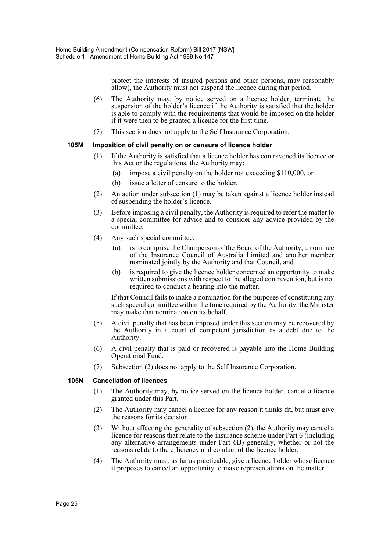protect the interests of insured persons and other persons, may reasonably allow), the Authority must not suspend the licence during that period.

- (6) The Authority may, by notice served on a licence holder, terminate the suspension of the holder's licence if the Authority is satisfied that the holder is able to comply with the requirements that would be imposed on the holder if it were then to be granted a licence for the first time.
- (7) This section does not apply to the Self Insurance Corporation.

#### **105M Imposition of civil penalty on or censure of licence holder**

- (1) If the Authority is satisfied that a licence holder has contravened its licence or this Act or the regulations, the Authority may:
	- (a) impose a civil penalty on the holder not exceeding \$110,000, or
	- (b) issue a letter of censure to the holder.
- (2) An action under subsection (1) may be taken against a licence holder instead of suspending the holder's licence.
- (3) Before imposing a civil penalty, the Authority is required to refer the matter to a special committee for advice and to consider any advice provided by the committee.
- (4) Any such special committee:
	- (a) is to comprise the Chairperson of the Board of the Authority, a nominee of the Insurance Council of Australia Limited and another member nominated jointly by the Authority and that Council, and
	- (b) is required to give the licence holder concerned an opportunity to make written submissions with respect to the alleged contravention, but is not required to conduct a hearing into the matter.

If that Council fails to make a nomination for the purposes of constituting any such special committee within the time required by the Authority, the Minister may make that nomination on its behalf.

- (5) A civil penalty that has been imposed under this section may be recovered by the Authority in a court of competent jurisdiction as a debt due to the Authority.
- (6) A civil penalty that is paid or recovered is payable into the Home Building Operational Fund.
- (7) Subsection (2) does not apply to the Self Insurance Corporation.

#### **105N Cancellation of licences**

- (1) The Authority may, by notice served on the licence holder, cancel a licence granted under this Part.
- (2) The Authority may cancel a licence for any reason it thinks fit, but must give the reasons for its decision.
- (3) Without affecting the generality of subsection (2), the Authority may cancel a licence for reasons that relate to the insurance scheme under Part 6 (including any alternative arrangements under Part 6B) generally, whether or not the reasons relate to the efficiency and conduct of the licence holder.
- (4) The Authority must, as far as practicable, give a licence holder whose licence it proposes to cancel an opportunity to make representations on the matter.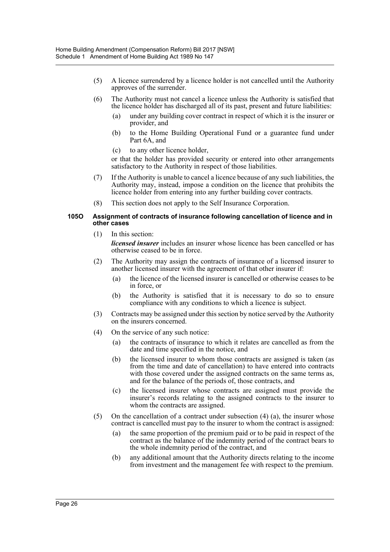- (5) A licence surrendered by a licence holder is not cancelled until the Authority approves of the surrender.
- (6) The Authority must not cancel a licence unless the Authority is satisfied that the licence holder has discharged all of its past, present and future liabilities:
	- (a) under any building cover contract in respect of which it is the insurer or provider, and
	- (b) to the Home Building Operational Fund or a guarantee fund under Part 6A, and
	- (c) to any other licence holder,

or that the holder has provided security or entered into other arrangements satisfactory to the Authority in respect of those liabilities.

- (7) If the Authority is unable to cancel a licence because of any such liabilities, the Authority may, instead, impose a condition on the licence that prohibits the licence holder from entering into any further building cover contracts.
- (8) This section does not apply to the Self Insurance Corporation.

#### **105O Assignment of contracts of insurance following cancellation of licence and in other cases**

- (1) In this section: *licensed insurer* includes an insurer whose licence has been cancelled or has otherwise ceased to be in force.
- (2) The Authority may assign the contracts of insurance of a licensed insurer to another licensed insurer with the agreement of that other insurer if:
	- (a) the licence of the licensed insurer is cancelled or otherwise ceases to be in force, or
	- (b) the Authority is satisfied that it is necessary to do so to ensure compliance with any conditions to which a licence is subject.
- (3) Contracts may be assigned under this section by notice served by the Authority on the insurers concerned.
- (4) On the service of any such notice:
	- (a) the contracts of insurance to which it relates are cancelled as from the date and time specified in the notice, and
	- (b) the licensed insurer to whom those contracts are assigned is taken (as from the time and date of cancellation) to have entered into contracts with those covered under the assigned contracts on the same terms as, and for the balance of the periods of, those contracts, and
	- (c) the licensed insurer whose contracts are assigned must provide the insurer's records relating to the assigned contracts to the insurer to whom the contracts are assigned.
- (5) On the cancellation of a contract under subsection (4) (a), the insurer whose contract is cancelled must pay to the insurer to whom the contract is assigned:
	- (a) the same proportion of the premium paid or to be paid in respect of the contract as the balance of the indemnity period of the contract bears to the whole indemnity period of the contract, and
	- (b) any additional amount that the Authority directs relating to the income from investment and the management fee with respect to the premium.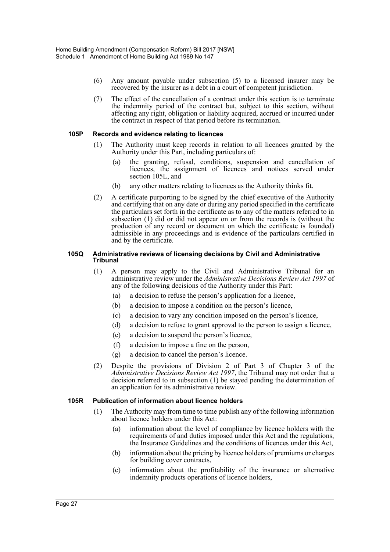- (6) Any amount payable under subsection (5) to a licensed insurer may be recovered by the insurer as a debt in a court of competent jurisdiction.
- (7) The effect of the cancellation of a contract under this section is to terminate the indemnity period of the contract but, subject to this section, without affecting any right, obligation or liability acquired, accrued or incurred under the contract in respect of that period before its termination.

#### **105P Records and evidence relating to licences**

- (1) The Authority must keep records in relation to all licences granted by the Authority under this Part, including particulars of:
	- (a) the granting, refusal, conditions, suspension and cancellation of licences, the assignment of licences and notices served under section 105L, and
	- (b) any other matters relating to licences as the Authority thinks fit.
- (2) A certificate purporting to be signed by the chief executive of the Authority and certifying that on any date or during any period specified in the certificate the particulars set forth in the certificate as to any of the matters referred to in subsection (1) did or did not appear on or from the records is (without the production of any record or document on which the certificate is founded) admissible in any proceedings and is evidence of the particulars certified in and by the certificate.

#### **105Q Administrative reviews of licensing decisions by Civil and Administrative Tribunal**

- (1) A person may apply to the Civil and Administrative Tribunal for an administrative review under the *Administrative Decisions Review Act 1997* of any of the following decisions of the Authority under this Part:
	- (a) a decision to refuse the person's application for a licence,
	- (b) a decision to impose a condition on the person's licence,
	- (c) a decision to vary any condition imposed on the person's licence,
	- (d) a decision to refuse to grant approval to the person to assign a licence,
	- (e) a decision to suspend the person's licence,
	- (f) a decision to impose a fine on the person,
	- (g) a decision to cancel the person's licence.
- (2) Despite the provisions of Division 2 of Part 3 of Chapter 3 of the *Administrative Decisions Review Act 1997*, the Tribunal may not order that a decision referred to in subsection (1) be stayed pending the determination of an application for its administrative review.

#### **105R Publication of information about licence holders**

- (1) The Authority may from time to time publish any of the following information about licence holders under this Act:
	- (a) information about the level of compliance by licence holders with the requirements of and duties imposed under this Act and the regulations, the Insurance Guidelines and the conditions of licences under this Act,
	- (b) information about the pricing by licence holders of premiums or charges for building cover contracts,
	- (c) information about the profitability of the insurance or alternative indemnity products operations of licence holders,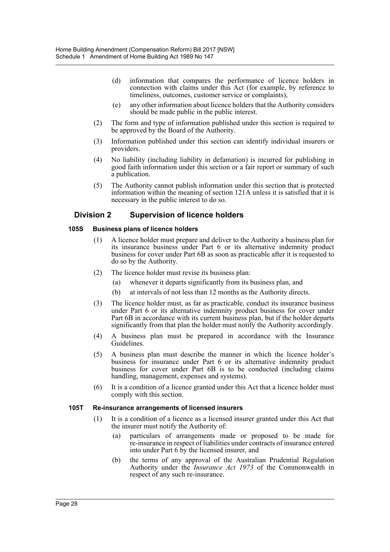- (d) information that compares the performance of licence holders in connection with claims under this Act (for example, by reference to timeliness, outcomes, customer service or complaints),
- (e) any other information about licence holders that the Authority considers should be made public in the public interest.
- (2) The form and type of information published under this section is required to be approved by the Board of the Authority.
- (3) Information published under this section can identify individual insurers or providers.
- (4) No liability (including liability in defamation) is incurred for publishing in good faith information under this section or a fair report or summary of such a publication.
- (5) The Authority cannot publish information under this section that is protected information within the meaning of section 121A unless it is satisfied that it is necessary in the public interest to do so.

# **Division 2 Supervision of licence holders**

#### **105S Business plans of licence holders**

- (1) A licence holder must prepare and deliver to the Authority a business plan for its insurance business under Part 6 or its alternative indemnity product business for cover under Part 6B as soon as practicable after it is requested to do so by the Authority.
- (2) The licence holder must revise its business plan:
	- (a) whenever it departs significantly from its business plan, and
	- (b) at intervals of not less than 12 months as the Authority directs.
- (3) The licence holder must, as far as practicable, conduct its insurance business under Part 6 or its alternative indemnity product business for cover under Part 6B in accordance with its current business plan, but if the holder departs significantly from that plan the holder must notify the Authority accordingly.
- (4) A business plan must be prepared in accordance with the Insurance Guidelines.
- (5) A business plan must describe the manner in which the licence holder's business for insurance under Part 6 or its alternative indemnity product business for cover under Part 6B is to be conducted (including claims handling, management, expenses and systems).
- (6) It is a condition of a licence granted under this Act that a licence holder must comply with this section.

#### **105T Re-insurance arrangements of licensed insurers**

- (1) It is a condition of a licence as a licensed insurer granted under this Act that the insurer must notify the Authority of:
	- (a) particulars of arrangements made or proposed to be made for re-insurance in respect of liabilities under contracts of insurance entered into under Part 6 by the licensed insurer, and
	- (b) the terms of any approval of the Australian Prudential Regulation Authority under the *Insurance Act 1973* of the Commonwealth in respect of any such re-insurance.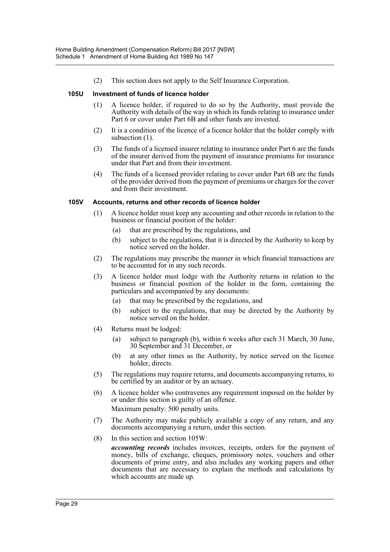(2) This section does not apply to the Self Insurance Corporation.

#### **105U Investment of funds of licence holder**

- (1) A licence holder, if required to do so by the Authority, must provide the Authority with details of the way in which its funds relating to insurance under Part 6 or cover under Part 6B and other funds are invested.
- (2) It is a condition of the licence of a licence holder that the holder comply with subsection  $(1)$ .
- (3) The funds of a licensed insurer relating to insurance under Part 6 are the funds of the insurer derived from the payment of insurance premiums for insurance under that Part and from their investment.
- (4) The funds of a licensed provider relating to cover under Part 6B are the funds of the provider derived from the payment of premiums or charges for the cover and from their investment.

#### **105V Accounts, returns and other records of licence holder**

- (1) A licence holder must keep any accounting and other records in relation to the business or financial position of the holder:
	- (a) that are prescribed by the regulations, and
	- (b) subject to the regulations, that it is directed by the Authority to keep by notice served on the holder.
- (2) The regulations may prescribe the manner in which financial transactions are to be accounted for in any such records.
- (3) A licence holder must lodge with the Authority returns in relation to the business or financial position of the holder in the form, containing the particulars and accompanied by any documents:
	- (a) that may be prescribed by the regulations, and
	- (b) subject to the regulations, that may be directed by the Authority by notice served on the holder.
- (4) Returns must be lodged:
	- (a) subject to paragraph (b), within 6 weeks after each 31 March, 30 June, 30 September and 31 December, or
	- (b) at any other times as the Authority, by notice served on the licence holder, directs.
- (5) The regulations may require returns, and documents accompanying returns, to be certified by an auditor or by an actuary.
- (6) A licence holder who contravenes any requirement imposed on the holder by or under this section is guilty of an offence. Maximum penalty: 500 penalty units.
- (7) The Authority may make publicly available a copy of any return, and any documents accompanying a return, under this section.
- (8) In this section and section 105W:

*accounting records* includes invoices, receipts, orders for the payment of money, bills of exchange, cheques, promissory notes, vouchers and other documents of prime entry, and also includes any working papers and other documents that are necessary to explain the methods and calculations by which accounts are made up.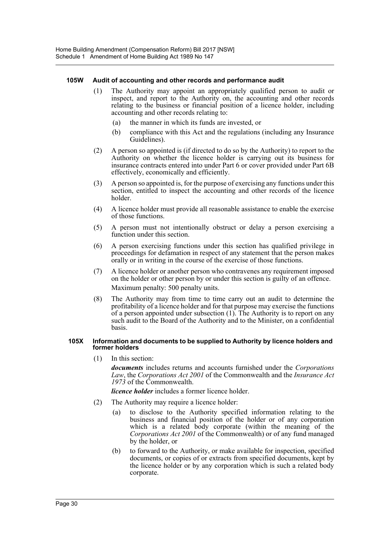#### **105W Audit of accounting and other records and performance audit**

- (1) The Authority may appoint an appropriately qualified person to audit or inspect, and report to the Authority on, the accounting and other records relating to the business or financial position of a licence holder, including accounting and other records relating to:
	- (a) the manner in which its funds are invested, or
	- (b) compliance with this Act and the regulations (including any Insurance Guidelines).
- (2) A person so appointed is (if directed to do so by the Authority) to report to the Authority on whether the licence holder is carrying out its business for insurance contracts entered into under Part 6 or cover provided under Part 6B effectively, economically and efficiently.
- (3) A person so appointed is, for the purpose of exercising any functions under this section, entitled to inspect the accounting and other records of the licence holder.
- (4) A licence holder must provide all reasonable assistance to enable the exercise of those functions.
- (5) A person must not intentionally obstruct or delay a person exercising a function under this section.
- (6) A person exercising functions under this section has qualified privilege in proceedings for defamation in respect of any statement that the person makes orally or in writing in the course of the exercise of those functions.
- (7) A licence holder or another person who contravenes any requirement imposed on the holder or other person by or under this section is guilty of an offence. Maximum penalty: 500 penalty units.
- (8) The Authority may from time to time carry out an audit to determine the profitability of a licence holder and for that purpose may exercise the functions of a person appointed under subsection (1). The Authority is to report on any such audit to the Board of the Authority and to the Minister, on a confidential basis.

#### **105X Information and documents to be supplied to Authority by licence holders and former holders**

(1) In this section:

*documents* includes returns and accounts furnished under the *Corporations Law*, the *Corporations Act 2001* of the Commonwealth and the *Insurance Act 1973* of the Commonwealth.

*licence holder* includes a former licence holder.

- (2) The Authority may require a licence holder:
	- (a) to disclose to the Authority specified information relating to the business and financial position of the holder or of any corporation which is a related body corporate (within the meaning of the *Corporations Act 2001* of the Commonwealth) or of any fund managed by the holder, or
	- (b) to forward to the Authority, or make available for inspection, specified documents, or copies of or extracts from specified documents, kept by the licence holder or by any corporation which is such a related body corporate.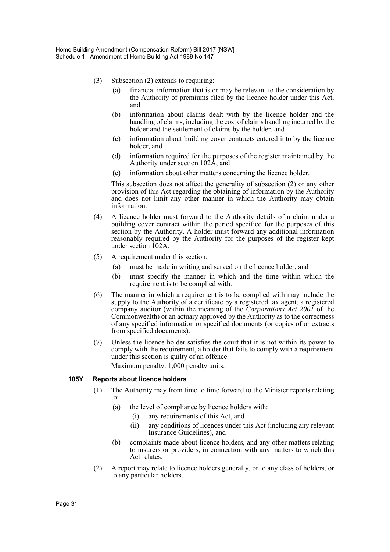- (3) Subsection (2) extends to requiring:
	- (a) financial information that is or may be relevant to the consideration by the Authority of premiums filed by the licence holder under this Act, and
	- (b) information about claims dealt with by the licence holder and the handling of claims, including the cost of claims handling incurred by the holder and the settlement of claims by the holder, and
	- (c) information about building cover contracts entered into by the licence holder, and
	- (d) information required for the purposes of the register maintained by the Authority under section 102A, and
	- (e) information about other matters concerning the licence holder.

This subsection does not affect the generality of subsection (2) or any other provision of this Act regarding the obtaining of information by the Authority and does not limit any other manner in which the Authority may obtain information.

- (4) A licence holder must forward to the Authority details of a claim under a building cover contract within the period specified for the purposes of this section by the Authority. A holder must forward any additional information reasonably required by the Authority for the purposes of the register kept under section 102A.
- (5) A requirement under this section:
	- (a) must be made in writing and served on the licence holder, and
	- (b) must specify the manner in which and the time within which the requirement is to be complied with.
- (6) The manner in which a requirement is to be complied with may include the supply to the Authority of a certificate by a registered tax agent, a registered company auditor (within the meaning of the *Corporations Act 2001* of the Commonwealth) or an actuary approved by the Authority as to the correctness of any specified information or specified documents (or copies of or extracts from specified documents).
- (7) Unless the licence holder satisfies the court that it is not within its power to comply with the requirement, a holder that fails to comply with a requirement under this section is guilty of an offence. Maximum penalty: 1,000 penalty units.

#### **105Y Reports about licence holders**

- (1) The Authority may from time to time forward to the Minister reports relating to:
	- (a) the level of compliance by licence holders with:
		- (i) any requirements of this Act, and
		- (ii) any conditions of licences under this Act (including any relevant Insurance Guidelines), and
	- (b) complaints made about licence holders, and any other matters relating to insurers or providers, in connection with any matters to which this Act relates.
- (2) A report may relate to licence holders generally, or to any class of holders, or to any particular holders.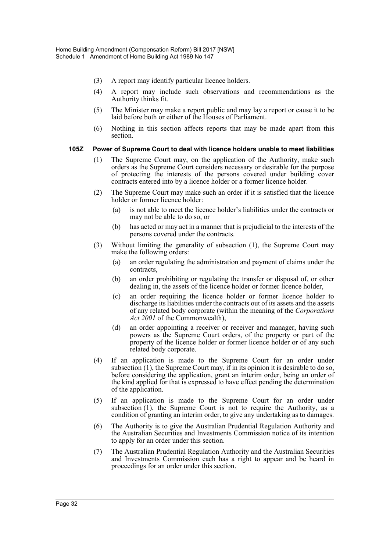- (3) A report may identify particular licence holders.
- (4) A report may include such observations and recommendations as the Authority thinks fit.
- (5) The Minister may make a report public and may lay a report or cause it to be laid before both or either of the Houses of Parliament.
- (6) Nothing in this section affects reports that may be made apart from this section.

#### **105Z Power of Supreme Court to deal with licence holders unable to meet liabilities**

- (1) The Supreme Court may, on the application of the Authority, make such orders as the Supreme Court considers necessary or desirable for the purpose of protecting the interests of the persons covered under building cover contracts entered into by a licence holder or a former licence holder.
- (2) The Supreme Court may make such an order if it is satisfied that the licence holder or former licence holder:
	- (a) is not able to meet the licence holder's liabilities under the contracts or may not be able to do so, or
	- (b) has acted or may act in a manner that is prejudicial to the interests of the persons covered under the contracts.
- (3) Without limiting the generality of subsection (1), the Supreme Court may make the following orders:
	- (a) an order regulating the administration and payment of claims under the contracts,
	- (b) an order prohibiting or regulating the transfer or disposal of, or other dealing in, the assets of the licence holder or former licence holder,
	- (c) an order requiring the licence holder or former licence holder to discharge its liabilities under the contracts out of its assets and the assets of any related body corporate (within the meaning of the *Corporations Act 2001* of the Commonwealth),
	- (d) an order appointing a receiver or receiver and manager, having such powers as the Supreme Court orders, of the property or part of the property of the licence holder or former licence holder or of any such related body corporate.
- (4) If an application is made to the Supreme Court for an order under subsection (1), the Supreme Court may, if in its opinion it is desirable to do so, before considering the application, grant an interim order, being an order of the kind applied for that is expressed to have effect pending the determination of the application.
- (5) If an application is made to the Supreme Court for an order under subsection (1), the Supreme Court is not to require the Authority, as a condition of granting an interim order, to give any undertaking as to damages.
- (6) The Authority is to give the Australian Prudential Regulation Authority and the Australian Securities and Investments Commission notice of its intention to apply for an order under this section.
- (7) The Australian Prudential Regulation Authority and the Australian Securities and Investments Commission each has a right to appear and be heard in proceedings for an order under this section.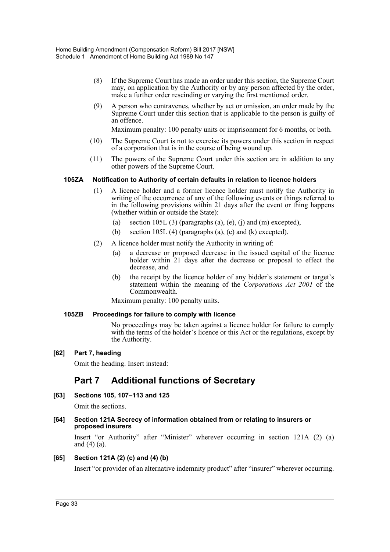- (8) If the Supreme Court has made an order under this section, the Supreme Court may, on application by the Authority or by any person affected by the order, make a further order rescinding or varying the first mentioned order.
- (9) A person who contravenes, whether by act or omission, an order made by the Supreme Court under this section that is applicable to the person is guilty of an offence.

Maximum penalty: 100 penalty units or imprisonment for 6 months, or both.

- (10) The Supreme Court is not to exercise its powers under this section in respect of a corporation that is in the course of being wound up.
- (11) The powers of the Supreme Court under this section are in addition to any other powers of the Supreme Court.

#### **105ZA Notification to Authority of certain defaults in relation to licence holders**

- (1) A licence holder and a former licence holder must notify the Authority in writing of the occurrence of any of the following events or things referred to in the following provisions within 21 days after the event or thing happens (whether within or outside the State):
	- (a) section 105L (3) (paragraphs (a), (e), (j) and (m) excepted),
	- (b) section 105L (4) (paragraphs (a), (c) and (k) excepted).
- (2) A licence holder must notify the Authority in writing of:
	- (a) a decrease or proposed decrease in the issued capital of the licence holder within 21 days after the decrease or proposal to effect the decrease, and
	- (b) the receipt by the licence holder of any bidder's statement or target's statement within the meaning of the *Corporations Act 2001* of the Commonwealth.

Maximum penalty: 100 penalty units.

#### **105ZB Proceedings for failure to comply with licence**

No proceedings may be taken against a licence holder for failure to comply with the terms of the holder's licence or this Act or the regulations, except by the Authority.

#### **[62] Part 7, heading**

Omit the heading. Insert instead:

# **Part 7 Additional functions of Secretary**

#### **[63] Sections 105, 107–113 and 125**

Omit the sections.

#### **[64] Section 121A Secrecy of information obtained from or relating to insurers or proposed insurers**

Insert "or Authority" after "Minister" wherever occurring in section 121A (2) (a) and (4) (a).

#### **[65] Section 121A (2) (c) and (4) (b)**

Insert "or provider of an alternative indemnity product" after "insurer" wherever occurring.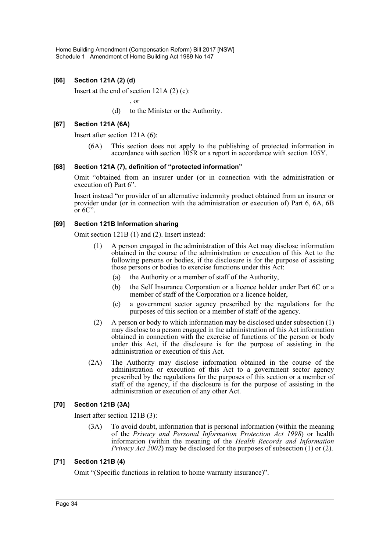## **[66] Section 121A (2) (d)**

Insert at the end of section 121A (2) (c):

, or

(d) to the Minister or the Authority.

#### **[67] Section 121A (6A)**

Insert after section 121A (6):

(6A) This section does not apply to the publishing of protected information in accordance with section 105R or a report in accordance with section 105Y.

#### **[68] Section 121A (7), definition of "protected information"**

Omit "obtained from an insurer under (or in connection with the administration or execution of) Part 6".

Insert instead "or provider of an alternative indemnity product obtained from an insurer or provider under (or in connection with the administration or execution of) Part 6, 6A, 6B or  $6C$ ".

#### **[69] Section 121B Information sharing**

Omit section 121B (1) and (2). Insert instead:

- (1) A person engaged in the administration of this Act may disclose information obtained in the course of the administration or execution of this Act to the following persons or bodies, if the disclosure is for the purpose of assisting those persons or bodies to exercise functions under this Act:
	- (a) the Authority or a member of staff of the Authority,
	- (b) the Self Insurance Corporation or a licence holder under Part 6C or a member of staff of the Corporation or a licence holder,
	- (c) a government sector agency prescribed by the regulations for the purposes of this section or a member of staff of the agency.
- (2) A person or body to which information may be disclosed under subsection (1) may disclose to a person engaged in the administration of this Act information obtained in connection with the exercise of functions of the person or body under this Act, if the disclosure is for the purpose of assisting in the administration or execution of this Act.
- (2A) The Authority may disclose information obtained in the course of the administration or execution of this Act to a government sector agency prescribed by the regulations for the purposes of this section or a member of staff of the agency, if the disclosure is for the purpose of assisting in the administration or execution of any other Act.

#### **[70] Section 121B (3A)**

Insert after section 121B (3):

(3A) To avoid doubt, information that is personal information (within the meaning of the *Privacy and Personal Information Protection Act 1998*) or health information (within the meaning of the *Health Records and Information Privacy Act 2002*) may be disclosed for the purposes of subsection (1) or (2).

#### **[71] Section 121B (4)**

Omit "(Specific functions in relation to home warranty insurance)".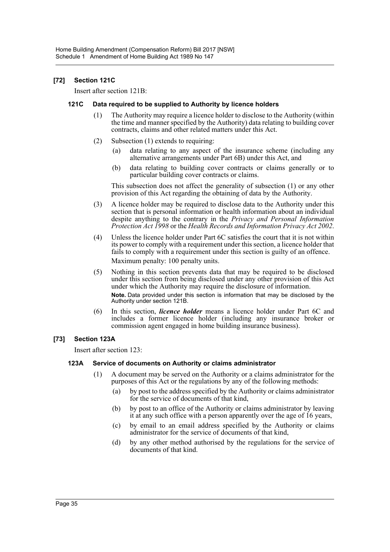### **[72] Section 121C**

Insert after section 121B:

#### **121C Data required to be supplied to Authority by licence holders**

- (1) The Authority may require a licence holder to disclose to the Authority (within the time and manner specified by the Authority) data relating to building cover contracts, claims and other related matters under this Act.
- (2) Subsection (1) extends to requiring:
	- (a) data relating to any aspect of the insurance scheme (including any alternative arrangements under Part 6B) under this Act, and
	- (b) data relating to building cover contracts or claims generally or to particular building cover contracts or claims.

This subsection does not affect the generality of subsection (1) or any other provision of this Act regarding the obtaining of data by the Authority.

- (3) A licence holder may be required to disclose data to the Authority under this section that is personal information or health information about an individual despite anything to the contrary in the *Privacy and Personal Information Protection Act 1998* or the *Health Records and Information Privacy Act 2002*.
- (4) Unless the licence holder under Part 6C satisfies the court that it is not within its power to comply with a requirement under this section, a licence holder that fails to comply with a requirement under this section is guilty of an offence. Maximum penalty: 100 penalty units.
- (5) Nothing in this section prevents data that may be required to be disclosed under this section from being disclosed under any other provision of this Act under which the Authority may require the disclosure of information. **Note.** Data provided under this section is information that may be disclosed by the Authority under section 121B.
- (6) In this section, *licence holder* means a licence holder under Part 6C and includes a former licence holder (including any insurance broker or commission agent engaged in home building insurance business).

#### **[73] Section 123A**

Insert after section 123:

#### **123A Service of documents on Authority or claims administrator**

- (1) A document may be served on the Authority or a claims administrator for the purposes of this Act or the regulations by any of the following methods:
	- (a) by post to the address specified by the Authority or claims administrator for the service of documents of that kind,
	- (b) by post to an office of the Authority or claims administrator by leaving it at any such office with a person apparently over the age of 16 years,
	- (c) by email to an email address specified by the Authority or claims administrator for the service of documents of that kind,
	- (d) by any other method authorised by the regulations for the service of documents of that kind.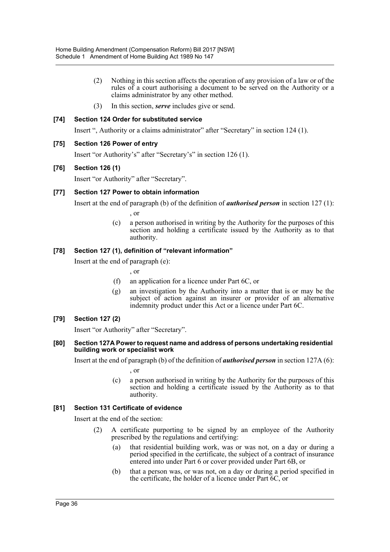- (2) Nothing in this section affects the operation of any provision of a law or of the rules of a court authorising a document to be served on the Authority or a claims administrator by any other method.
- (3) In this section, *serve* includes give or send.

#### **[74] Section 124 Order for substituted service**

Insert ", Authority or a claims administrator" after "Secretary" in section 124 (1).

#### **[75] Section 126 Power of entry**

Insert "or Authority's" after "Secretary's" in section 126 (1).

#### **[76] Section 126 (1)**

Insert "or Authority" after "Secretary".

#### **[77] Section 127 Power to obtain information**

Insert at the end of paragraph (b) of the definition of *authorised person* in section 127 (1):

- , or
- (c) a person authorised in writing by the Authority for the purposes of this section and holding a certificate issued by the Authority as to that authority.

#### **[78] Section 127 (1), definition of "relevant information"**

Insert at the end of paragraph (e):

- , or
- (f) an application for a licence under Part 6C, or
- (g) an investigation by the Authority into a matter that is or may be the subject of action against an insurer or provider of an alternative indemnity product under this Act or a licence under Part 6C.

#### **[79] Section 127 (2)**

Insert "or Authority" after "Secretary".

#### **[80] Section 127A Power to request name and address of persons undertaking residential building work or specialist work**

Insert at the end of paragraph (b) of the definition of *authorised person* in section 127A (6):

, or

(c) a person authorised in writing by the Authority for the purposes of this section and holding a certificate issued by the Authority as to that authority.

#### **[81] Section 131 Certificate of evidence**

Insert at the end of the section:

- (2) A certificate purporting to be signed by an employee of the Authority prescribed by the regulations and certifying:
	- (a) that residential building work, was or was not, on a day or during a period specified in the certificate, the subject of a contract of insurance entered into under Part 6 or cover provided under Part 6B, or
	- (b) that a person was, or was not, on a day or during a period specified in the certificate, the holder of a licence under Part 6C, or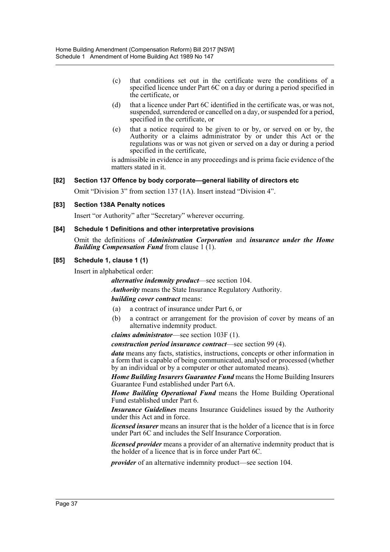- (c) that conditions set out in the certificate were the conditions of a specified licence under Part 6C on a day or during a period specified in the certificate, or
- (d) that a licence under Part 6C identified in the certificate was, or was not, suspended, surrendered or cancelled on a day, or suspended for a period, specified in the certificate, or
- (e) that a notice required to be given to or by, or served on or by, the Authority or a claims administrator by or under this Act or the regulations was or was not given or served on a day or during a period specified in the certificate,

is admissible in evidence in any proceedings and is prima facie evidence of the matters stated in it.

#### **[82] Section 137 Offence by body corporate—general liability of directors etc**

Omit "Division 3" from section 137 (1A). Insert instead "Division 4".

#### **[83] Section 138A Penalty notices**

Insert "or Authority" after "Secretary" wherever occurring.

#### **[84] Schedule 1 Definitions and other interpretative provisions**

Omit the definitions of *Administration Corporation* and *insurance under the Home Building Compensation Fund* from clause  $1(1)$ .

#### **[85] Schedule 1, clause 1 (1)**

Insert in alphabetical order:

*alternative indemnity product*—see section 104.

*Authority* means the State Insurance Regulatory Authority.

*building cover contract* means:

- (a) a contract of insurance under Part 6, or
- (b) a contract or arrangement for the provision of cover by means of an alternative indemnity product.

*claims administrator*—see section 103F (1).

*construction period insurance contract*—see section 99 (4).

*data* means any facts, statistics, instructions, concepts or other information in a form that is capable of being communicated, analysed or processed (whether by an individual or by a computer or other automated means).

*Home Building Insurers Guarantee Fund* means the Home Building Insurers Guarantee Fund established under Part 6A.

*Home Building Operational Fund* means the Home Building Operational Fund established under Part 6.

*Insurance Guidelines* means Insurance Guidelines issued by the Authority under this Act and in force.

*licensed insurer* means an insurer that is the holder of a licence that is in force under Part 6C and includes the Self Insurance Corporation.

*licensed provider* means a provider of an alternative indemnity product that is the holder of a licence that is in force under Part 6C.

*provider* of an alternative indemnity product—see section 104.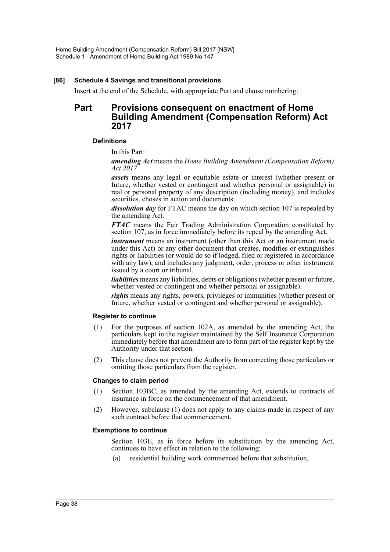#### **[86] Schedule 4 Savings and transitional provisions**

Insert at the end of the Schedule, with appropriate Part and clause numbering:

# **Part Provisions consequent on enactment of Home Building Amendment (Compensation Reform) Act 2017**

#### **Definitions**

In this Part:

*amending Act* means the *Home Building Amendment (Compensation Reform) Act 2017*.

*assets* means any legal or equitable estate or interest (whether present or future, whether vested or contingent and whether personal or assignable) in real or personal property of any description (including money), and includes securities, choses in action and documents.

*dissolution day* for FTAC means the day on which section 107 is repealed by the amending Act.

*FTAC* means the Fair Trading Administration Corporation constituted by section 107, as in force immediately before its repeal by the amending Act.

*instrument* means an instrument (other than this Act or an instrument made under this Act) or any other document that creates, modifies or extinguishes rights or liabilities (or would do so if lodged, filed or registered in accordance with any law), and includes any judgment, order, process or other instrument issued by a court or tribunal.

*liabilities* means any liabilities, debts or obligations (whether present or future, whether vested or contingent and whether personal or assignable).

*rights* means any rights, powers, privileges or immunities (whether present or future, whether vested or contingent and whether personal or assignable).

#### **Register to continue**

- (1) For the purposes of section 102A, as amended by the amending Act, the particulars kept in the register maintained by the Self Insurance Corporation immediately before that amendment are to form part of the register kept by the Authority under that section.
- (2) This clause does not prevent the Authority from correcting those particulars or omitting those particulars from the register.

#### **Changes to claim period**

- (1) Section 103BC, as amended by the amending Act, extends to contracts of insurance in force on the commencement of that amendment.
- (2) However, subclause (1) does not apply to any claims made in respect of any such contract before that commencement.

#### **Exemptions to continue**

Section 103E, as in force before its substitution by the amending Act, continues to have effect in relation to the following:

(a) residential building work commenced before that substitution,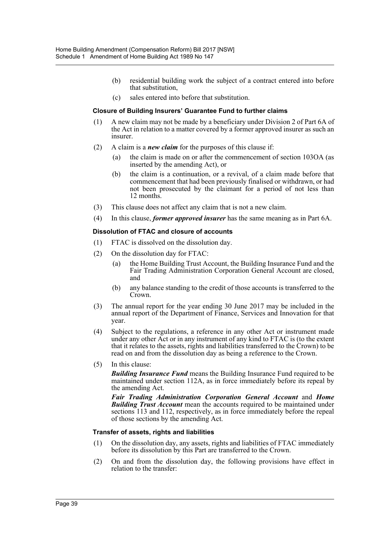- (b) residential building work the subject of a contract entered into before that substitution,
- (c) sales entered into before that substitution.

#### **Closure of Building Insurers' Guarantee Fund to further claims**

- (1) A new claim may not be made by a beneficiary under Division 2 of Part 6A of the Act in relation to a matter covered by a former approved insurer as such an insurer.
- (2) A claim is a *new claim* for the purposes of this clause if:
	- (a) the claim is made on or after the commencement of section 103OA (as inserted by the amending Act), or
	- (b) the claim is a continuation, or a revival, of a claim made before that commencement that had been previously finalised or withdrawn, or had not been prosecuted by the claimant for a period of not less than 12 months.
- (3) This clause does not affect any claim that is not a new claim.
- (4) In this clause, *former approved insurer* has the same meaning as in Part 6A.

#### **Dissolution of FTAC and closure of accounts**

- (1) FTAC is dissolved on the dissolution day.
- (2) On the dissolution day for FTAC:
	- (a) the Home Building Trust Account, the Building Insurance Fund and the Fair Trading Administration Corporation General Account are closed, and
	- (b) any balance standing to the credit of those accounts is transferred to the Crown.
- (3) The annual report for the year ending 30 June 2017 may be included in the annual report of the Department of Finance, Services and Innovation for that year.
- (4) Subject to the regulations, a reference in any other Act or instrument made under any other Act or in any instrument of any kind to FTAC is (to the extent that it relates to the assets, rights and liabilities transferred to the Crown) to be read on and from the dissolution day as being a reference to the Crown.
- (5) In this clause:

*Building Insurance Fund* means the Building Insurance Fund required to be maintained under section 112A, as in force immediately before its repeal by the amending Act.

*Fair Trading Administration Corporation General Account* and *Home Building Trust Account* mean the accounts required to be maintained under sections 113 and 112, respectively, as in force immediately before the repeal of those sections by the amending Act.

#### **Transfer of assets, rights and liabilities**

- (1) On the dissolution day, any assets, rights and liabilities of FTAC immediately before its dissolution by this Part are transferred to the Crown.
- (2) On and from the dissolution day, the following provisions have effect in relation to the transfer: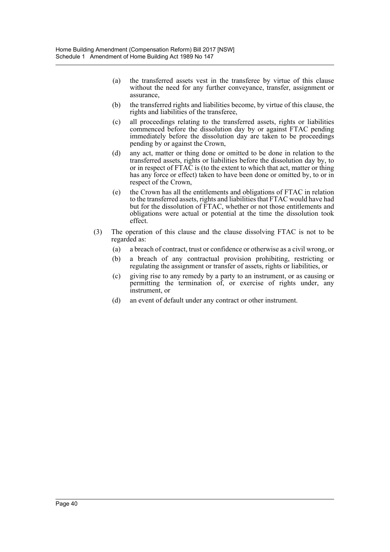- (a) the transferred assets vest in the transferee by virtue of this clause without the need for any further conveyance, transfer, assignment or assurance,
- (b) the transferred rights and liabilities become, by virtue of this clause, the rights and liabilities of the transferee,
- (c) all proceedings relating to the transferred assets, rights or liabilities commenced before the dissolution day by or against FTAC pending immediately before the dissolution day are taken to be proceedings pending by or against the Crown,
- (d) any act, matter or thing done or omitted to be done in relation to the transferred assets, rights or liabilities before the dissolution day by, to or in respect of FTAC is (to the extent to which that act, matter or thing has any force or effect) taken to have been done or omitted by, to or in respect of the Crown,
- (e) the Crown has all the entitlements and obligations of FTAC in relation to the transferred assets, rights and liabilities that FTAC would have had but for the dissolution of FTAC, whether or not those entitlements and obligations were actual or potential at the time the dissolution took effect.
- (3) The operation of this clause and the clause dissolving FTAC is not to be regarded as:
	- (a) a breach of contract, trust or confidence or otherwise as a civil wrong, or
	- (b) a breach of any contractual provision prohibiting, restricting or regulating the assignment or transfer of assets, rights or liabilities, or
	- (c) giving rise to any remedy by a party to an instrument, or as causing or permitting the termination of, or exercise of rights under, any instrument, or
	- (d) an event of default under any contract or other instrument.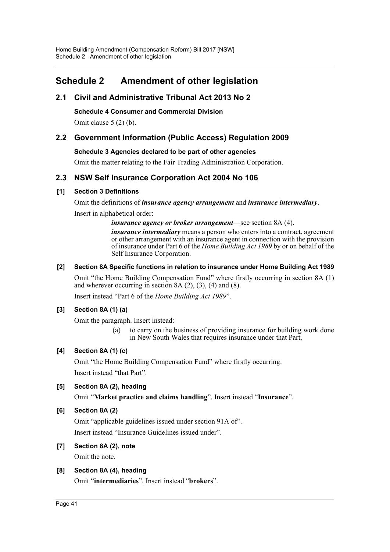# <span id="page-41-0"></span>**Schedule 2 Amendment of other legislation**

# **2.1 Civil and Administrative Tribunal Act 2013 No 2**

**Schedule 4 Consumer and Commercial Division**

Omit clause 5 (2) (b).

# **2.2 Government Information (Public Access) Regulation 2009**

## **Schedule 3 Agencies declared to be part of other agencies**

Omit the matter relating to the Fair Trading Administration Corporation.

# **2.3 NSW Self Insurance Corporation Act 2004 No 106**

## **[1] Section 3 Definitions**

Omit the definitions of *insurance agency arrangement* and *insurance intermediary*. Insert in alphabetical order:

*insurance agency or broker arrangement*—see section 8A (4).

*insurance intermediary* means a person who enters into a contract, agreement or other arrangement with an insurance agent in connection with the provision of insurance under Part 6 of the *Home Building Act 1989* by or on behalf of the Self Insurance Corporation.

## **[2] Section 8A Specific functions in relation to insurance under Home Building Act 1989**

Omit "the Home Building Compensation Fund" where firstly occurring in section 8A (1) and wherever occurring in section  $8A(2)$ ,  $(3)$ ,  $(4)$  and  $(8)$ .

Insert instead "Part 6 of the *Home Building Act 1989*".

# **[3] Section 8A (1) (a)**

Omit the paragraph. Insert instead:

(a) to carry on the business of providing insurance for building work done in New South Wales that requires insurance under that Part,

# **[4] Section 8A (1) (c)**

Omit "the Home Building Compensation Fund" where firstly occurring. Insert instead "that Part".

## **[5] Section 8A (2), heading**

Omit "**Market practice and claims handling**". Insert instead "**Insurance**".

# **[6] Section 8A (2)**

Omit "applicable guidelines issued under section 91A of". Insert instead "Insurance Guidelines issued under".

# **[7] Section 8A (2), note**

Omit the note.

# **[8] Section 8A (4), heading**

Omit "**intermediaries**". Insert instead "**brokers**".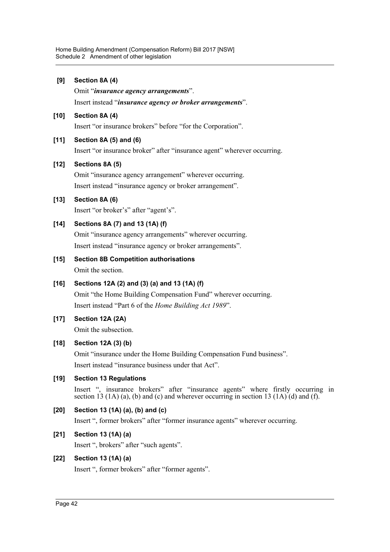**[9] Section 8A (4)** Omit "*insurance agency arrangements*". Insert instead "*insurance agency or broker arrangements*". **[10] Section 8A (4)** Insert "or insurance brokers" before "for the Corporation". **[11] Section 8A (5) and (6)** Insert "or insurance broker" after "insurance agent" wherever occurring. **[12] Sections 8A (5)** Omit "insurance agency arrangement" wherever occurring. Insert instead "insurance agency or broker arrangement". **[13] Section 8A (6)** Insert "or broker's" after "agent's". **[14] Sections 8A (7) and 13 (1A) (f)**

Omit "insurance agency arrangements" wherever occurring. Insert instead "insurance agency or broker arrangements".

- **[15] Section 8B Competition authorisations** Omit the section.
- **[16] Sections 12A (2) and (3) (a) and 13 (1A) (f)** Omit "the Home Building Compensation Fund" wherever occurring. Insert instead "Part 6 of the *Home Building Act 1989*".
- **[17] Section 12A (2A)**

Omit the subsection.

**[18] Section 12A (3) (b)**

Omit "insurance under the Home Building Compensation Fund business". Insert instead "insurance business under that Act".

**[19] Section 13 Regulations**

Insert ", insurance brokers" after "insurance agents" where firstly occurring in section 13 (1A) (a), (b) and (c) and wherever occurring in section 13 (1A) (d) and (f).

**[20] Section 13 (1A) (a), (b) and (c)**

Insert ", former brokers" after "former insurance agents" wherever occurring.

# **[21] Section 13 (1A) (a)**

Insert ", brokers" after "such agents".

# **[22] Section 13 (1A) (a)**

Insert ", former brokers" after "former agents".